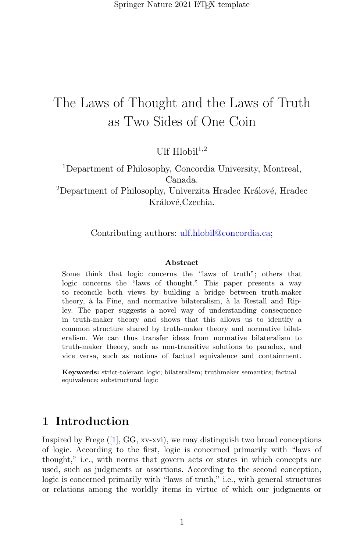# The Laws of Thought and the Laws of Truth as Two Sides of One Coin

Ulf  $H$ lobil $^{1,2}$ 

<sup>1</sup>Department of Philosophy, Concordia University, Montreal, Canada.

<sup>2</sup>Department of Philosophy, Univerzita Hradec Králové, Hradec Králové, Czechia.

Contributing authors: ulf.hlobil@concordia.ca;

#### Abstract

Some think that logic concerns the "laws of truth"; others that logic concerns the "laws of thought." This paper presents a way to reconcile both views by building a bridge between truth-maker theory, à la Fine, and normative bilateralism, à la Restall and Ripley. The paper suggests a novel way of understanding consequence in truth-maker theory and shows that this allows us to identify a common structure shared by truth-maker theory and normative bilateralism. We can thus transfer ideas from normative bilateralism to truth-maker theory, such as non-transitive solutions to paradox, and vice versa, such as notions of factual equivalence and containment.

Keywords: strict-tolerant logic; bilateralism; truthmaker semantics; factual equivalence; substructural logic

## 1 Introduction

Inspiredby Frege  $(1)$ , GG, xv-xvi), we may distinguish two broad conceptions of logic. According to the first, logic is concerned primarily with "laws of thought," i.e., with norms that govern acts or states in which concepts are used, such as judgments or assertions. According to the second conception, logic is concerned primarily with "laws of truth," i.e., with general structures or relations among the worldly items in virtue of which our judgments or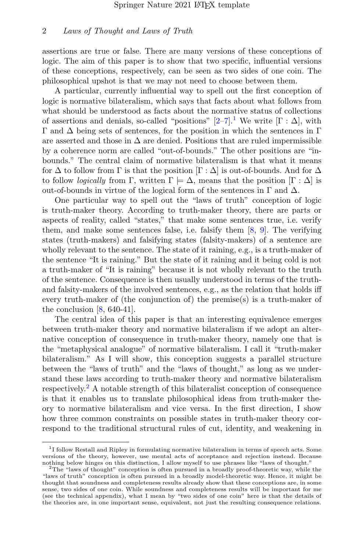assertions are true or false. There are many versions of these conceptions of logic. The aim of this paper is to show that two specific, influential versions of these conceptions, respectively, can be seen as two sides of one coin. The philosophical upshot is that we may not need to choose between them.

A particular, currently influential way to spell out the first conception of logic is normative bilateralism, which says that facts about what follows from what should be understood as facts about the normative status of collections of assertions and denials, so-called "positions"  $[2-7]$  $[2-7]$ <sup>[1](#page-1-0)</sup>. We write  $[\Gamma : \Delta]$ , with  $Γ$  and  $Δ$  being sets of sentences, for the position in which the sentences in Γ are asserted and those in  $\Delta$  are denied. Positions that are ruled impermissible by a coherence norm are called "out-of-bounds." The other positions are "inbounds." The central claim of normative bilateralism is that what it means for  $\Delta$  to follow from  $\Gamma$  is that the position  $[\Gamma : \Delta]$  is out-of-bounds. And for  $\Delta$ to follow *logically* from Γ, written  $\Gamma \models \Delta$ , means that the position  $[\Gamma : \Delta]$  is out-of-bounds in virtue of the logical form of the sentences in  $\Gamma$  and  $\Delta$ .

One particular way to spell out the "laws of truth" conception of logic is truth-maker theory. According to truth-maker theory, there are parts or aspects of reality, called "states," that make some sentences true, i.e. verify them, and make some sentences false, i.e. falsify them  $[8, 9]$  $[8, 9]$ . The verifying states (truth-makers) and falsifying states (falsity-makers) of a sentence are wholly relevant to the sentence. The state of it raining, e.g., is a truth-maker of the sentence "It is raining." But the state of it raining and it being cold is not a truth-maker of "It is raining" because it is not wholly relevant to the truth of the sentence. Consequence is then usually understood in terms of the truthand falsity-makers of the involved sentences, e.g., as the relation that holds iff every truth-maker of (the conjunction of) the premise(s) is a truth-maker of the conclusion  $[8, 640-41]$ .

The central idea of this paper is that an interesting equivalence emerges between truth-maker theory and normative bilateralism if we adopt an alternative conception of consequence in truth-maker theory, namely one that is the "metaphysical analogue" of normative bilateralism. I call it "truth-maker bilateralism." As I will show, this conception suggests a parallel structure between the "laws of truth" and the "laws of thought," as long as we understand these laws according to truth-maker theory and normative bilateralism respectively.<sup>[2](#page-1-1)</sup> A notable strength of this bilateralist conception of consequence is that it enables us to translate philosophical ideas from truth-maker theory to normative bilateralism and vice versa. In the first direction, I show how three common constraints on possible states in truth-maker theory correspond to the traditional structural rules of cut, identity, and weakening in

<span id="page-1-0"></span><sup>&</sup>lt;sup>1</sup>I follow Restall and Ripley in formulating normative bilateralism in terms of speech acts. Some versions of the theory, however, use mental acts of acceptance and rejection instead. Because nothing below hinges on this distinction, I allow myself to use phrases like "laws of thought."

<span id="page-1-1"></span><sup>&</sup>lt;sup>2</sup>The "laws of thought" conception is often pursued in a broadly proof-theoretic way, while the "laws of truth" conception is often pursued in a broadly model-theoretic way. Hence, it might be thought that soundness and completeness results already show that these conceptions are, in some sense, two sides of one coin. While soundness and completeness results will be important for me (see the technical appendix), what I mean by "two sides of one coin" here is that the details of the theories are, in one important sense, equivalent, not just the resulting consequence relations.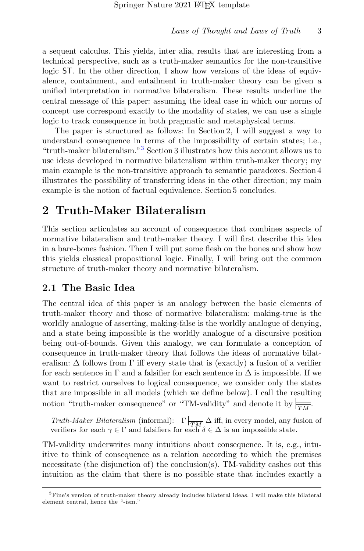a sequent calculus. This yields, inter alia, results that are interesting from a technical perspective, such as a truth-maker semantics for the non-transitive logic ST. In the other direction, I show how versions of the ideas of equivalence, containment, and entailment in truth-maker theory can be given a unified interpretation in normative bilateralism. These results underline the central message of this paper: assuming the ideal case in which our norms of concept use correspond exactly to the modality of states, we can use a single logic to track consequence in both pragmatic and metaphysical terms.

The paper is structured as follows: In Section 2, I will suggest a way to understand consequence in terms of the impossibility of certain states; i.e., "truth-maker bilateralism."[3](#page-2-0) Section 3 illustrates how this account allows us to use ideas developed in normative bilateralism within truth-maker theory; my main example is the non-transitive approach to semantic paradoxes. Section 4 illustrates the possibility of transferring ideas in the other direction; my main example is the notion of factual equivalence. Section 5 concludes.

## 2 Truth-Maker Bilateralism

This section articulates an account of consequence that combines aspects of normative bilateralism and truth-maker theory. I will first describe this idea in a bare-bones fashion. Then I will put some flesh on the bones and show how this yields classical propositional logic. Finally, I will bring out the common structure of truth-maker theory and normative bilateralism.

### 2.1 The Basic Idea

The central idea of this paper is an analogy between the basic elements of truth-maker theory and those of normative bilateralism: making-true is the worldly analogue of asserting, making-false is the worldly analogue of denying, and a state being impossible is the worldly analogue of a discursive position being out-of-bounds. Given this analogy, we can formulate a conception of consequence in truth-maker theory that follows the ideas of normative bilateralism:  $\Delta$  follows from  $\Gamma$  iff every state that is (exactly) a fusion of a verifier for each sentence in  $\Gamma$  and a falsifier for each sentence in  $\Delta$  is impossible. If we want to restrict ourselves to logical consequence, we consider only the states that are impossible in all models (which we define below). I call the resulting notion "truth-maker consequence" or "TM-validity" and denote it by  $\frac{1}{|TM|}$ .

Truth-Maker Bilateralism (informal):  $\Gamma \mid \overline{m} \Delta$  iff, in every model, any fusion of verifiers for each  $\gamma \in \Gamma$  and falsifiers for each  $\delta \in \Delta$  is an impossible state.

TM-validity underwrites many intuitions about consequence. It is, e.g., intuitive to think of consequence as a relation according to which the premises necessitate (the disjunction of) the conclusion(s). TM-validity cashes out this intuition as the claim that there is no possible state that includes exactly a

<span id="page-2-0"></span><sup>3</sup>Fine's version of truth-maker theory already includes bilateral ideas. I will make this bilateral element central, hence the "-ism."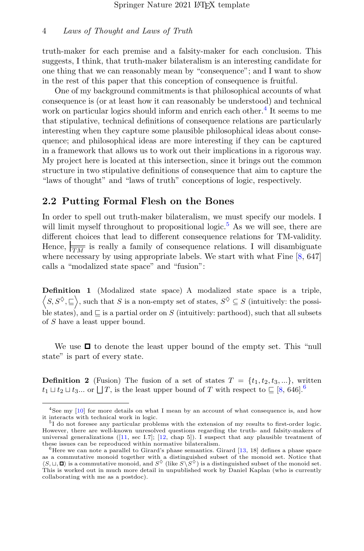truth-maker for each premise and a falsity-maker for each conclusion. This suggests, I think, that truth-maker bilateralism is an interesting candidate for one thing that we can reasonably mean by "consequence"; and I want to show in the rest of this paper that this conception of consequence is fruitful.

One of my background commitments is that philosophical accounts of what consequence is (or at least how it can reasonably be understood) and technical work on particular logics should inform and enrich each other.<sup>[4](#page-3-0)</sup> It seems to me that stipulative, technical definitions of consequence relations are particularly interesting when they capture some plausible philosophical ideas about consequence; and philosophical ideas are more interesting if they can be captured in a framework that allows us to work out their implications in a rigorous way. My project here is located at this intersection, since it brings out the common structure in two stipulative definitions of consequence that aim to capture the "laws of thought" and "laws of truth" conceptions of logic, respectively.

### 2.2 Putting Formal Flesh on the Bones

In order to spell out truth-maker bilateralism, we must specify our models. I will limit myself throughout to propositional logic.<sup>[5](#page-3-1)</sup> As we will see, there are different choices that lead to different consequence relations for TM-validity. Hence,  $\frac{1}{\sqrt{M}}$  is really a family of consequence relations. I will disambiguate where necessary by using appropriate labels. We start with what Fine  $[8, 647]$ calls a "modalized state space" and "fusion":

Definition 1 (Modalized state space) A modalized state space is a triple,  $\langle S, S^\diamond \rangle \subseteq \rangle$ , such that S is a non-empty set of states,  $S^\diamond \subseteq S$  (intuitively: the possible states), and  $\sqsubseteq$  is a partial order on S (intuitively: parthood), such that all subsets of S have a least upper bound.

We use  $\Box$  to denote the least upper bound of the empty set. This "null state" is part of every state.

**Definition 2** (Fusion) The fusion of a set of states  $T = \{t_1, t_2, t_3, ...\}$ , written  $t_1 \sqcup t_2 \sqcup t_3...$  or  $\sqcup T$ , is the least upper bound of T with respect to  $\sqsubseteq [8, 646]$  $\sqsubseteq [8, 646]$  $\sqsubseteq [8, 646]$  $\sqsubseteq [8, 646]$  $\sqsubseteq [8, 646]$ .

<span id="page-3-0"></span><sup>4</sup>See my [\[10\]](#page-31-5) for more details on what I mean by an account of what consequence is, and how it interacts with technical work in logic.

<span id="page-3-1"></span><sup>&</sup>lt;sup>5</sup>I do not foresee any particular problems with the extension of my results to first-order logic. However, there are well-known unresolved questions regarding the truth- and falsity-makers of universal generalizations ([\[11,](#page-32-0) sec I.7]; [\[12,](#page-32-1) chap 5]). I suspect that any plausible treatment of these issues can be reproduced within normative bilateralism.

<span id="page-3-2"></span><sup>&</sup>lt;sup>6</sup>Here we can note a parallel to Girard's phase semantics. Girard  $[13, 18]$  $[13, 18]$  defines a phase space as a commutative monoid together with a distinguished subset of the monoid set. Notice that  $\langle S, \sqcup, \square \rangle$  is a commutative monoid, and  $S^{\lozenge}$  (like  $S \backslash S^{\lozenge}$ ) is a distinguished subset of the monoid set. This is worked out in much more detail in unpublished work by Daniel Kaplan (who is currently collaborating with me as a postdoc).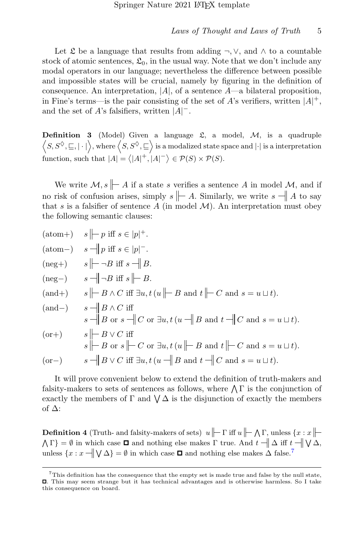Let  $\mathfrak L$  be a language that results from adding  $\neg, \vee$ , and  $\wedge$  to a countable stock of atomic sentences,  $\mathfrak{L}_0$ , in the usual way. Note that we don't include any modal operators in our language; nevertheless the difference between possible and impossible states will be crucial, namely by figuring in the definition of consequence. An interpretation,  $|A|$ , of a sentence  $A$ —a bilateral proposition, in Fine's terms—is the pair consisting of the set of A's verifiers, written  $|A|^+$ , and the set of A's falsifiers, written  $|A|$ <sup>-</sup>.

**Definition 3** (Model) Given a language  $\mathfrak{L}$ , a model,  $\mathcal{M}$ , is a quadruple  $\langle S, S^\Diamond, \sqsubseteq, |\cdot|\rangle$ , where  $\langle S, S^\Diamond, \sqsubseteq \rangle$  is a modalized state space and  $|\cdot|$  is a interpretation function, such that  $|A| = \langle |A|^+, |A|^- \rangle \in \mathcal{P}(S) \times \mathcal{P}(S)$ .

We write  $\mathcal{M}, s \not\parallel A$  if a state s verifies a sentence A in model  $\mathcal{M},$  and if no risk of confusion arises, simply  $s \not\parallel A$ . Similarly, we write  $s \not\parallel A$  to say that s is a falsifier of sentence  $A$  (in model  $M$ ). An interpretation must obey the following semantic clauses:

|          | $(\text{atom+}) \quad s \mid\mid p \text{ iff } s \in  p ^{+}.$                                                                                                           |
|----------|---------------------------------------------------------------------------------------------------------------------------------------------------------------------------|
|          | $(\text{atom}-) \quad s \stackrel{\text{def}}{\rightarrow} p \text{ iff } s \in  p ^{-}.$                                                                                 |
|          | $(\text{neg}+)$ $s \mid -\neg B \text{ iff } s \mid B.$                                                                                                                   |
| $(neg-)$ | $s \rightarrow B$ iff $s \not\rightarrow B$ .                                                                                                                             |
| $(and+)$ | $s \nightharpoonup B \wedge C$ iff $\exists u, t (u \nightharpoonup B \text{ and } t \nightharpoonup C \text{ and } s = u \sqcup t).$                                     |
| $(and-)$ | $s - B \wedge C$ iff<br>$s \longrightarrow B$ or $s \longrightarrow C$ or $\exists u, t (u \longrightarrow B$ and $t \longrightarrow C$ and $s = u \sqcup t$ .            |
| $(or+)$  | $s \rightarrow B \vee C$ iff<br>$s \nightharpoonup B$ or $s \nightharpoonup C$ or $\exists u, t \, (u \nightharpoonup B$ and $t \nightharpoonup C$ and $s = u \sqcup t$ . |
| $(or-)$  | $s \longrightarrow B \lor C$ iff $\exists u, t (u \longrightarrow B \text{ and } t \longrightarrow C \text{ and } s = u \sqcup t).$                                       |

It will prove convenient below to extend the definition of truth-makers and falsity-makers to sets of sentences as follows, where  $\bigwedge \Gamma$  is the conjunction of exactly the members of  $\Gamma$  and  $\bigvee \Delta$  is the disjunction of exactly the members of ∆:

<span id="page-4-1"></span>**Definition 4** (Truth- and falsity-makers of sets)  $u \mid\mid \Gamma$  iff  $u \mid\mid \Lambda \Gamma$ , unless  $\{x : x\}$  $\Lambda \Gamma$  =  $\emptyset$  in which case  $\Box$  and nothing else makes  $\Gamma$  true. And  $t \parallel \Delta$  iff  $t \parallel \bigvee \Delta$ , unless  $\{x : x \in \mathbb{N} \setminus \Delta\} = \emptyset$  in which case  $\Box$  and nothing else makes  $\Delta$  false.<sup>[7](#page-4-0)</sup>

<span id="page-4-0"></span> $7$ This definition has the consequence that the empty set is made true and false by the null state, . This may seem strange but it has technical advantages and is otherwise harmless. So I take this consequence on board.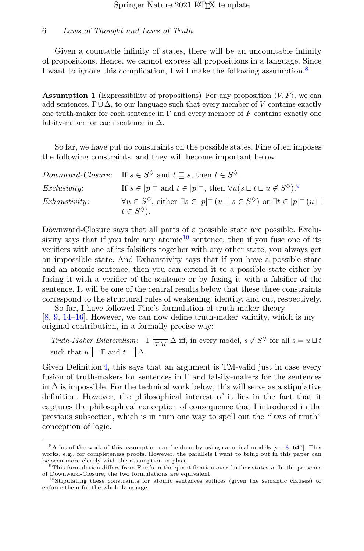Given a countable infinity of states, there will be an uncountable infinity of propositions. Hence, we cannot express all propositions in a language. Since I want to ignore this complication, I will make the following assumption.<sup>[8](#page-5-0)</sup>

<span id="page-5-3"></span>**Assumption 1** (Expressibility of propositions) For any proposition  $\langle V, F \rangle$ , we can add sentences,  $\Gamma \cup \Delta$ , to our language such that every member of V contains exactly one truth-maker for each sentence in  $\Gamma$  and every member of F contains exactly one falsity-maker for each sentence in  $\Delta$ .

So far, we have put no constraints on the possible states. Fine often imposes the following constraints, and they will become important below:

|                     | Downward-Closure: If $s \in S^{\lozenge}$ and $t \sqsubseteq s$ , then $t \in S^{\lozenge}$ .                                                                  |
|---------------------|----------------------------------------------------------------------------------------------------------------------------------------------------------------|
| <i>Exclusivity:</i> | If $s \in  p ^+$ and $t \in  p ^-$ , then $\forall u (s \sqcup t \sqcup u \notin S^{\lozenge})^9$ .                                                            |
| Exhaustivity:       | $\forall u \in S^{\diamondsuit}$ , either $\exists s \in  p ^{+}(u \sqcup s \in S^{\diamondsuit})$ or $\exists t \in  p ^{-}(u \sqcup s \in S^{\diamondsuit})$ |
|                     | $t\in S^{\lozenge}$ ).                                                                                                                                         |

Downward-Closure says that all parts of a possible state are possible. Exclu-sivity says that if you take any atomic<sup>[10](#page-5-2)</sup> sentence, then if you fuse one of its verifiers with one of its falsifiers together with any other state, you always get an impossible state. And Exhaustivity says that if you have a possible state and an atomic sentence, then you can extend it to a possible state either by fusing it with a verifier of the sentence or by fusing it with a falsifier of the sentence. It will be one of the central results below that these three constraints correspond to the structural rules of weakening, identity, and cut, respectively.

So far, I have followed Fine's formulation of truth-maker theory [\[8,](#page-31-3) [9,](#page-31-4) [14–](#page-32-3)[16\]](#page-32-4). However, we can now define truth-maker validity, which is my original contribution, in a formally precise way:

Truth-Maker Bilateralism:  $\Gamma \mid_{\overline{TM}} \Delta$  iff, in every model,  $s \notin S^{\lozenge}$  for all  $s = u \sqcup t$ such that  $u \|\neg \Gamma$  and  $t \|\Delta$ .

Given Definition [4,](#page-4-1) this says that an argument is TM-valid just in case every fusion of truth-makers for sentences in  $\Gamma$  and falsity-makers for the sentences in  $\Delta$  is impossible. For the technical work below, this will serve as a stipulative definition. However, the philosophical interest of it lies in the fact that it captures the philosophical conception of consequence that I introduced in the previous subsection, which is in turn one way to spell out the "laws of truth" conception of logic.

<span id="page-5-0"></span><sup>&</sup>lt;sup>8</sup>A lot of the work of this assumption can be done by using canonical models [see [8,](#page-31-3) 647]. This works, e.g., for completeness proofs. However, the parallels I want to bring out in this paper can be seen more clearly with the assumption in place.<br><sup>9</sup>This formulation differs from Fine's in the quantification over further states u. In the presence

<span id="page-5-1"></span>of Downward-Closure, the two formulations are equivalent.

<span id="page-5-2"></span><sup>10</sup>Stipulating these constraints for atomic sentences suffices (given the semantic clauses) to enforce them for the whole language.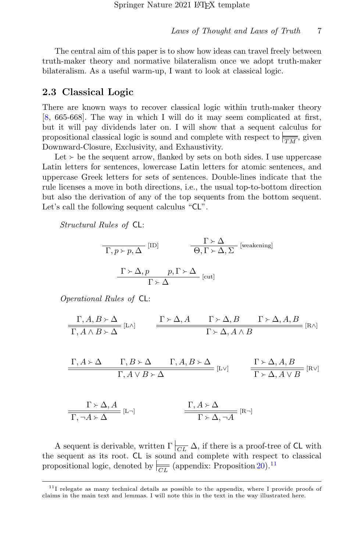The central aim of this paper is to show how ideas can travel freely between truth-maker theory and normative bilateralism once we adopt truth-maker bilateralism. As a useful warm-up, I want to look at classical logic.

### 2.3 Classical Logic

There are known ways to recover classical logic within truth-maker theory [\[8,](#page-31-3) 665-668]. The way in which I will do it may seem complicated at first, but it will pay dividends later on. I will show that a sequent calculus for propositional classical logic is sound and complete with respect to  $\frac{1}{TM}$ , given Downward-Closure, Exclusivity, and Exhaustivity.

Let  $\geq$  be the sequent arrow, flanked by sets on both sides. I use uppercase Latin letters for sentences, lowercase Latin letters for atomic sentences, and uppercase Greek letters for sets of sentences. Double-lines indicate that the rule licenses a move in both directions, i.e., the usual top-to-bottom direction but also the derivation of any of the top sequents from the bottom sequent. Let's call the following sequent calculus "CL".

Structural Rules of CL:

$$
\frac{\Gamma \succ \Delta}{\Gamma, p \succ p, \Delta} \text{ [ID]} \qquad \frac{\Gamma \succ \Delta}{\Theta, \Gamma \succ \Delta, \Sigma} \text{ [weakening]}
$$
\n
$$
\frac{\Gamma \succ \Delta, p \qquad p, \Gamma \succ \Delta}{\Gamma \succ \Delta} \text{ [cut]}
$$

Operational Rules of CL:

$$
\frac{\Gamma, A, B \succ \Delta}{\Gamma, A \land B \succ \Delta} [\text{L}\land] \qquad \frac{\Gamma \succ \Delta, A \qquad \Gamma \succ \Delta, B \qquad \Gamma \succ \Delta, A, B}{\Gamma \succ \Delta, A \land B} [\text{R}\land]
$$

$$
\frac{\Gamma, A \succ \Delta \qquad \Gamma, B \succ \Delta \qquad \Gamma, A, B \succ \Delta}{\Gamma, A \vee B \succ \Delta} \text{ } [\text{LV}] \qquad \frac{\Gamma \succ \Delta, A, B}{\Gamma \succ \Delta, A \vee B} \text{ } [\text{RV}]
$$

$$
\frac{\Gamma \succ \Delta, A}{\Gamma, \neg A \succ \Delta} [\text{L} \neg] \qquad \qquad \frac{\Gamma, A \succ \Delta}{\Gamma \succ \Delta, \neg A} [\text{R} \neg]
$$

A sequent is derivable, written  $\Gamma\left|_{\overline{CL}}\right|$   $\Delta$ , if there is a proof-tree of CL with the sequent as its root. CL is sound and complete with respect to classical propositional logic, denoted by  $\left| \frac{\partial F}{\partial L} \right|$  (appendix: Proposition [20\)](#page-22-0).<sup>[11](#page-6-0)</sup>

<span id="page-6-0"></span> $11$ I relegate as many technical details as possible to the appendix, where I provide proofs of claims in the main text and lemmas. I will note this in the text in the way illustrated here.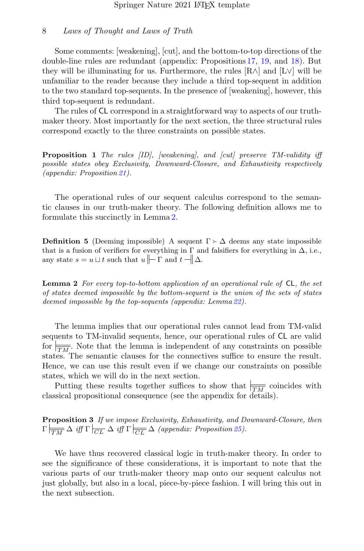Some comments: [weakening], [cut], and the bottom-to-top directions of the double-line rules are redundant (appendix: Propositions [17,](#page-21-0) [19,](#page-22-1) and [18\)](#page-22-2). But they will be illuminating for us. Furthermore, the rules  $[R \wedge]$  and  $[L \vee]$  will be unfamiliar to the reader because they include a third top-sequent in addition to the two standard top-sequents. In the presence of [weakening], however, this third top-sequent is redundant.

The rules of CL correspond in a straightforward way to aspects of our truthmaker theory. Most importantly for the next section, the three structural rules correspond exactly to the three constraints on possible states.

**Proposition 1** The rules [ID], [weakening], and [cut] preserve TM-validity iff possible states obey Exclusivity, Downward-Closure, and Exhaustivity respectively (appendix: Proposition [21\)](#page-22-3).

The operational rules of our sequent calculus correspond to the semantic clauses in our truth-maker theory. The following definition allows me to formulate this succinctly in Lemma [2.](#page-7-0)

**Definition 5** (Deeming impossible) A sequent  $\Gamma \succ \Delta$  deems any state impossible that is a fusion of verifiers for everything in  $\Gamma$  and falsifiers for everything in  $\Delta$ , i.e., any state  $s = u \sqcup t$  such that  $u \not\parallel \neg \Gamma$  and  $t \not\parallel \Delta$ .

<span id="page-7-0"></span>**Lemma 2** For every top-to-bottom application of an operational rule of  $CL$ , the set of states deemed impossible by the bottom-sequent is the union of the sets of states deemed impossible by the top-sequents (appendix: Lemma [22\)](#page-23-0).

The lemma implies that our operational rules cannot lead from TM-valid sequents to TM-invalid sequents, hence, our operational rules of CL are valid for  $\frac{1}{T M}$ . Note that the lemma is independent of any constraints on possible states. The semantic clauses for the connectives suffice to ensure the result. Hence, we can use this result even if we change our constraints on possible states, which we will do in the next section.

Putting these results together suffices to show that  $\frac{1}{TM}$  coincides with classical propositional consequence (see the appendix for details).

Proposition 3 If we impose Exclusivity, Exhaustivity, and Downward-Closure, then  $\Gamma \mid_{\overline{TM}} \Delta \text{ iff } \Gamma \mid_{\overline{CL}} \Delta \text{ iff } \Gamma \mid_{\overline{CL}} \Delta \text{ (appendix: Proposition 25).}$  $\Gamma \mid_{\overline{TM}} \Delta \text{ iff } \Gamma \mid_{\overline{CL}} \Delta \text{ iff } \Gamma \mid_{\overline{CL}} \Delta \text{ (appendix: Proposition 25).}$  $\Gamma \mid_{\overline{TM}} \Delta \text{ iff } \Gamma \mid_{\overline{CL}} \Delta \text{ iff } \Gamma \mid_{\overline{CL}} \Delta \text{ (appendix: Proposition 25).}$ 

We have thus recovered classical logic in truth-maker theory. In order to see the significance of these considerations, it is important to note that the various parts of our truth-maker theory map onto our sequent calculus not just globally, but also in a local, piece-by-piece fashion. I will bring this out in the next subsection.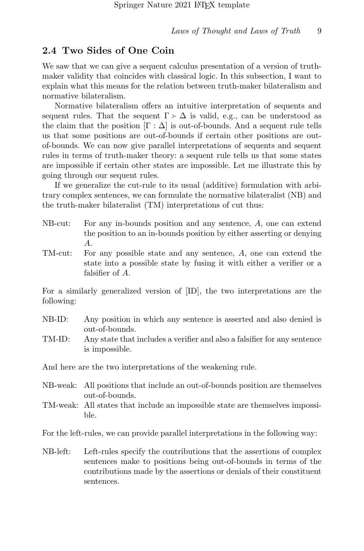### 2.4 Two Sides of One Coin

We saw that we can give a sequent calculus presentation of a version of truthmaker validity that coincides with classical logic. In this subsection, I want to explain what this means for the relation between truth-maker bilateralism and normative bilateralism.

Normative bilateralism offers an intuitive interpretation of sequents and sequent rules. That the sequent  $\Gamma \succ \Delta$  is valid, e.g., can be understood as the claim that the position  $[\Gamma : \Delta]$  is out-of-bounds. And a sequent rule tells us that some positions are out-of-bounds if certain other positions are outof-bounds. We can now give parallel interpretations of sequents and sequent rules in terms of truth-maker theory: a sequent rule tells us that some states are impossible if certain other states are impossible. Let me illustrate this by going through our sequent rules.

If we generalize the cut-rule to its usual (additive) formulation with arbitrary complex sentences, we can formulate the normative bilateralist (NB) and the truth-maker bilateralist (TM) interpretations of cut thus:

- NB-cut: For any in-bounds position and any sentence, A, one can extend the position to an in-bounds position by either asserting or denying A.
- TM-cut: For any possible state and any sentence, A, one can extend the state into a possible state by fusing it with either a verifier or a falsifier of A.

For a similarly generalized version of [ID], the two interpretations are the following:

- NB-ID: Any position in which any sentence is asserted and also denied is out-of-bounds.
- TM-ID: Any state that includes a verifier and also a falsifier for any sentence is impossible.

And here are the two interpretations of the weakening rule.

- NB-weak: All positions that include an out-of-bounds position are themselves out-of-bounds.
- TM-weak: All states that include an impossible state are themselves impossible.

For the left-rules, we can provide parallel interpretations in the following way:

NB-left: Left-rules specify the contributions that the assertions of complex sentences make to positions being out-of-bounds in terms of the contributions made by the assertions or denials of their constituent sentences.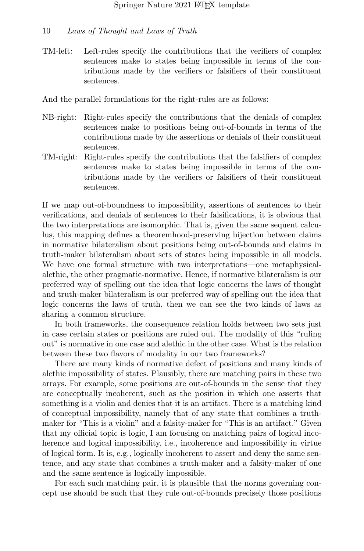TM-left: Left-rules specify the contributions that the verifiers of complex sentences make to states being impossible in terms of the contributions made by the verifiers or falsifiers of their constituent sentences.

And the parallel formulations for the right-rules are as follows:

- NB-right: Right-rules specify the contributions that the denials of complex sentences make to positions being out-of-bounds in terms of the contributions made by the assertions or denials of their constituent sentences.
- TM-right: Right-rules specify the contributions that the falsifiers of complex sentences make to states being impossible in terms of the contributions made by the verifiers or falsifiers of their constituent sentences.

If we map out-of-boundness to impossibility, assertions of sentences to their verifications, and denials of sentences to their falsifications, it is obvious that the two interpretations are isomorphic. That is, given the same sequent calculus, this mapping defines a theoremhood-preserving bijection between claims in normative bilateralism about positions being out-of-bounds and claims in truth-maker bilateralism about sets of states being impossible in all models. We have one formal structure with two interpretations—one metaphysicalalethic, the other pragmatic-normative. Hence, if normative bilateralism is our preferred way of spelling out the idea that logic concerns the laws of thought and truth-maker bilateralism is our preferred way of spelling out the idea that logic concerns the laws of truth, then we can see the two kinds of laws as sharing a common structure.

In both frameworks, the consequence relation holds between two sets just in case certain states or positions are ruled out. The modality of this "ruling out" is normative in one case and alethic in the other case. What is the relation between these two flavors of modality in our two frameworks?

There are many kinds of normative defect of positions and many kinds of alethic impossibility of states. Plausibly, there are matching pairs in these two arrays. For example, some positions are out-of-bounds in the sense that they are conceptually incoherent, such as the position in which one asserts that something is a violin and denies that it is an artifact. There is a matching kind of conceptual impossibility, namely that of any state that combines a truthmaker for "This is a violin" and a falsity-maker for "This is an artifact." Given that my official topic is logic, I am focusing on matching pairs of logical incoherence and logical impossibility, i.e., incoherence and impossibility in virtue of logical form. It is, e.g., logically incoherent to assert and deny the same sentence, and any state that combines a truth-maker and a falsity-maker of one and the same sentence is logically impossible.

For each such matching pair, it is plausible that the norms governing concept use should be such that they rule out-of-bounds precisely those positions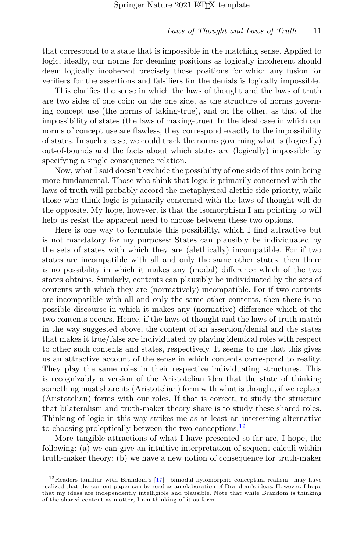that correspond to a state that is impossible in the matching sense. Applied to logic, ideally, our norms for deeming positions as logically incoherent should deem logically incoherent precisely those positions for which any fusion for verifiers for the assertions and falsifiers for the denials is logically impossible.

This clarifies the sense in which the laws of thought and the laws of truth are two sides of one coin: on the one side, as the structure of norms governing concept use (the norms of taking-true), and on the other, as that of the impossibility of states (the laws of making-true). In the ideal case in which our norms of concept use are flawless, they correspond exactly to the impossibility of states. In such a case, we could track the norms governing what is (logically) out-of-bounds and the facts about which states are (logically) impossible by specifying a single consequence relation.

Now, what I said doesn't exclude the possibility of one side of this coin being more fundamental. Those who think that logic is primarily concerned with the laws of truth will probably accord the metaphysical-alethic side priority, while those who think logic is primarily concerned with the laws of thought will do the opposite. My hope, however, is that the isomorphism I am pointing to will help us resist the apparent need to choose between these two options.

Here is one way to formulate this possibility, which I find attractive but is not mandatory for my purposes: States can plausibly be individuated by the sets of states with which they are (alethically) incompatible. For if two states are incompatible with all and only the same other states, then there is no possibility in which it makes any (modal) difference which of the two states obtains. Similarly, contents can plausibly be individuated by the sets of contents with which they are (normatively) incompatible. For if two contents are incompatible with all and only the same other contents, then there is no possible discourse in which it makes any (normative) difference which of the two contents occurs. Hence, if the laws of thought and the laws of truth match in the way suggested above, the content of an assertion/denial and the states that makes it true/false are individuated by playing identical roles with respect to other such contents and states, respectively. It seems to me that this gives us an attractive account of the sense in which contents correspond to reality. They play the same roles in their respective individuating structures. This is recognizably a version of the Aristotelian idea that the state of thinking something must share its (Aristotelian) form with what is thought, if we replace (Aristotelian) forms with our roles. If that is correct, to study the structure that bilateralism and truth-maker theory share is to study these shared roles. Thinking of logic in this way strikes me as at least an interesting alternative to choosing proleptically between the two conceptions.<sup>[12](#page-10-0)</sup>

More tangible attractions of what I have presented so far are, I hope, the following: (a) we can give an intuitive interpretation of sequent calculi within truth-maker theory; (b) we have a new notion of consequence for truth-maker

<span id="page-10-0"></span> $12$ Readers familiar with Brandom's [\[17\]](#page-32-5) "bimodal hylomorphic conceptual realism" may have realized that the current paper can be read as an elaboration of Brandom's ideas. However, I hope that my ideas are independently intelligible and plausible. Note that while Brandom is thinking of the shared content as matter, I am thinking of it as form.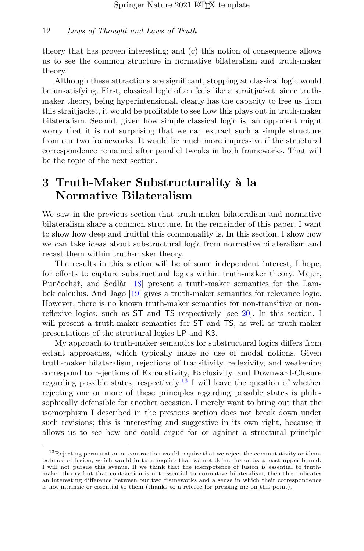theory that has proven interesting; and (c) this notion of consequence allows us to see the common structure in normative bilateralism and truth-maker theory.

Although these attractions are significant, stopping at classical logic would be unsatisfying. First, classical logic often feels like a straitjacket; since truthmaker theory, being hyperintensional, clearly has the capacity to free us from this straitjacket, it would be profitable to see how this plays out in truth-maker bilateralism. Second, given how simple classical logic is, an opponent might worry that it is not surprising that we can extract such a simple structure from our two frameworks. It would be much more impressive if the structural correspondence remained after parallel tweaks in both frameworks. That will be the topic of the next section.

## 3 Truth-Maker Substructurality à la Normative Bilateralism

We saw in the previous section that truth-maker bilateralism and normative bilateralism share a common structure. In the remainder of this paper, I want to show how deep and fruitful this commonality is. In this section, I show how we can take ideas about substructural logic from normative bilateralism and recast them within truth-maker theory.

The results in this section will be of some independent interest, I hope, for efforts to capture substructural logics within truth-maker theory. Majer, Punčochář, and Sedlàr [\[18\]](#page-32-6) present a truth-maker semantics for the Lambek calculus. And Jago [\[19\]](#page-32-7) gives a truth-maker semantics for relevance logic. However, there is no known truth-maker semantics for non-transitive or nonreflexive logics, such as ST and TS respectively [see [20\]](#page-32-8). In this section, I will present a truth-maker semantics for ST and TS, as well as truth-maker presentations of the structural logics LP and K3.

My approach to truth-maker semantics for substructural logics differs from extant approaches, which typically make no use of modal notions. Given truth-maker bilateralism, rejections of transitivity, reflexivity, and weakening correspond to rejections of Exhaustivity, Exclusivity, and Downward-Closure regarding possible states, respectively.<sup>[13](#page-11-0)</sup> I will leave the question of whether rejecting one or more of these principles regarding possible states is philosophically defensible for another occasion. I merely want to bring out that the isomorphism I described in the previous section does not break down under such revisions; this is interesting and suggestive in its own right, because it allows us to see how one could argue for or against a structural principle

<span id="page-11-0"></span> $13$ Rejecting permutation or contraction would require that we reject the commutativity or idempotence of fusion, which would in turn require that we not define fusion as a least upper bound. I will not pursue this avenue. If we think that the idempotence of fusion is essential to truthmaker theory but that contraction is not essential to normative bilateralism, then this indicates an interesting difference between our two frameworks and a sense in which their correspondence is not intrinsic or essential to them (thanks to a referee for pressing me on this point).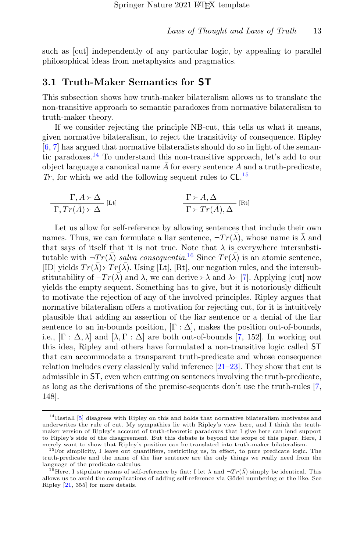such as [cut] independently of any particular logic, by appealing to parallel philosophical ideas from metaphysics and pragmatics.

### 3.1 Truth-Maker Semantics for ST

This subsection shows how truth-maker bilateralism allows us to translate the non-transitive approach to semantic paradoxes from normative bilateralism to truth-maker theory.

If we consider rejecting the principle NB-cut, this tells us what it means, given normative bilateralism, to reject the transitivity of consequence. Ripley [\[6,](#page-31-6) [7\]](#page-31-2) has argued that normative bilateralists should do so in light of the semantic paradoxes.[14](#page-12-0) To understand this non-transitive approach, let's add to our object language a canonical name  $\overline{A}$  for every sentence A and a truth-predicate,  $Tr$ , for which we add the following sequent rules to  $CL^{15}$  $CL^{15}$  $CL^{15}$ 

$$
\frac{\Gamma, A \succ \Delta}{\Gamma, Tr(\bar{A}) \succ \Delta} [\text{Lt}] \qquad \frac{\Gamma \succ A, \Delta}{\Gamma \succ Tr(\bar{A}), \Delta} [\text{Rt}]
$$

Let us allow for self-reference by allowing sentences that include their own names. Thus, we can formulate a liar sentence,  $\neg Tr(\bar{\lambda})$ , whose name is  $\bar{\lambda}$  and that says of itself that it is not true. Note that  $\lambda$  is everywhere intersubstitutable with  $\neg Tr(\bar{\lambda})$  salva consequentia.<sup>[16](#page-12-2)</sup> Since  $Tr(\bar{\lambda})$  is an atomic sentence, [ID] yields  $Tr(\bar{\lambda}) \rightarrow Tr(\bar{\lambda})$ . Using [Lt], [Rt], our negation rules, and the intersub-<br>stitutability of  $Tr(\bar{\lambda})$  and  $\lambda$  we can derive  $\lambda$  and  $\lambda$  [7]. Applying [cut] now stitutability of  $\neg Tr(\vec{\lambda})$  and  $\lambda$ , we can derive  $\rightarrow \lambda$  and  $\lambda \rightarrow [7]$  $\lambda \rightarrow [7]$ . Applying [cut] now yields the empty sequent. Something has to give, but it is notoriously difficult to motivate the rejection of any of the involved principles. Ripley argues that normative bilateralism offers a motivation for rejecting cut, for it is intuitively plausible that adding an assertion of the liar sentence or a denial of the liar sentence to an in-bounds position,  $[\Gamma : \Delta]$ , makes the position out-of-bounds, i.e.,  $[\Gamma : \Delta, \lambda]$  and  $[\lambda, \Gamma : \Delta]$  are both out-of-bounds [\[7,](#page-31-2) 152]. In working out this idea, Ripley and others have formulated a non-transitive logic called ST that can accommodate a transparent truth-predicate and whose consequence relation includes every classically valid inference [\[21–](#page-32-9)[23\]](#page-32-10). They show that cut is admissible in ST, even when cutting on sentences involving the truth-predicate, as long as the derivations of the premise-sequents don't use the truth-rules [\[7,](#page-31-2) 148].

<span id="page-12-0"></span> $14$ Restall [\[5\]](#page-31-7) disagrees with Ripley on this and holds that normative bilateralism motivates and underwrites the rule of cut. My sympathies lie with Ripley's view here, and I think the truthmaker version of Ripley's account of truth-theoretic paradoxes that I give here can lend support to Ripley's side of the disagreement. But this debate is beyond the scope of this paper. Here, I merely want to show that Ripley's position can be translated into truth-maker bilateralism.

<span id="page-12-1"></span><sup>&</sup>lt;sup>15</sup>For simplicity, I leave out quantifiers, restricting us, in effect, to pure predicate logic. The truth-predicate and the name of the liar sentence are the only things we really need from the language of the predicate calculus.

<span id="page-12-2"></span><sup>&</sup>lt;sup>6</sup>Here, I stipulate means of self-reference by fiat: I let  $\lambda$  and  $\neg Tr(\overline{\lambda})$  simply be identical. This allows us to avoid the complications of adding self-reference via Gödel numbering or the like. See Ripley [\[21,](#page-32-9) 355] for more details.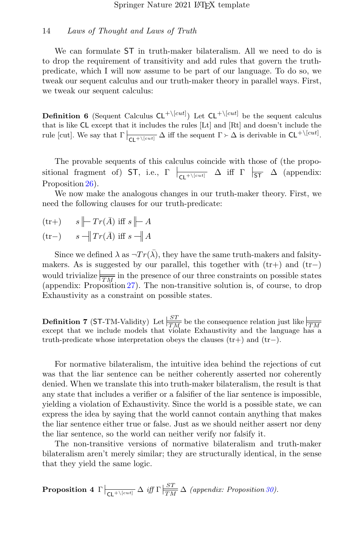We can formulate ST in truth-maker bilateralism. All we need to do is to drop the requirement of transitivity and add rules that govern the truthpredicate, which I will now assume to be part of our language. To do so, we tweak our sequent calculus and our truth-maker theory in parallel ways. First, we tweak our sequent calculus:

**Definition 6** (Sequent Calculus  $CL^{+\setminus [cut]}$ ) Let  $CL^{+\setminus [cut]}$  be the sequent calculus that is like CL except that it includes the rules [Lt] and [Rt] and doesn't include the rule [cut]. We say that  $\Gamma \big|_{\mathsf{CL}^+\setminus [cut]} \Delta$  iff the sequent  $\Gamma \succ \Delta$  is derivable in  $\mathsf{CL}^+\setminus [cut]$ .

The provable sequents of this calculus coincide with those of (the propositional fragment of) ST, i.e.,  $\Gamma \left| \frac{\Gamma}{\mathsf{CL}^{+\setminus [cut]}} \Delta \right|$  iff  $\Gamma \left| \frac{\Gamma}{\mathsf{ST}} \Delta \right|$  (appendix: Proposition [26\)](#page-25-0).

We now make the analogous changes in our truth-maker theory. First, we need the following clauses for our truth-predicate:

$$
\begin{array}{ll}\n\text{(tr+)} & s \mid\mid T r(\bar{A}) \text{ iff } s \mid\mid\mid A \\
\text{(tr-)} & s \mid\mid T r(\bar{A}) \text{ iff } s \mid\mid A\n\end{array}
$$

Since we defined  $\lambda$  as  $\neg Tr(\bar{\lambda})$ , they have the same truth-makers and falsitymakers. As is suggested by our parallel, this together with  $(tr+)$  and  $(tr-)$ would trivialize  $\frac{1}{TM}$  in the presence of our three constraints on possible states (appendix: Proposition [27\)](#page-25-1). The non-transitive solution is, of course, to drop Exhaustivity as a constraint on possible states.

**Definition 7** (ST-TM-Validity) Let  $\frac{ST}{TM}$  be the consequence relation just like  $\frac{F}{TM}$  except that we include models that violate Exhaustivity and the language has a truth-predicate whose interpretation obeys the clauses  $(tr+)$  and  $(tr-)$ .

For normative bilateralism, the intuitive idea behind the rejections of cut was that the liar sentence can be neither coherently asserted nor coherently denied. When we translate this into truth-maker bilateralism, the result is that any state that includes a verifier or a falsifier of the liar sentence is impossible, yielding a violation of Exhaustivity. Since the world is a possible state, we can express the idea by saying that the world cannot contain anything that makes the liar sentence either true or false. Just as we should neither assert nor deny the liar sentence, so the world can neither verify nor falsify it.

The non-transitive versions of normative bilateralism and truth-maker bilateralism aren't merely similar; they are structurally identical, in the sense that they yield the same logic.

**Proposition 4**  $\Gamma \Big|_{\text{CL}^+\setminus [cut]}$   $\Delta$  *iff*  $\Gamma \Big|_{\text{T}M}^{\text{ST}}$   $\Delta$  (appendix: Proposition [30\)](#page-27-0).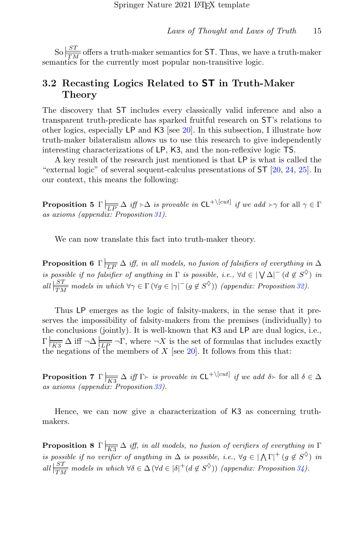So  $\frac{ST}{TM}$  offers a truth-maker semantics for ST. Thus, we have a truth-maker semantics for the currently most popular non-transitive logic.

### 3.2 Recasting Logics Related to ST in Truth-Maker Theory

The discovery that ST includes every classically valid inference and also a transparent truth-predicate has sparked fruitful research on ST's relations to other logics, especially LP and K3 [see [20\]](#page-32-8). In this subsection, I illustrate how truth-maker bilateralism allows us to use this research to give independently interesting characterizations of LP, K3, and the non-reflexive logic TS.

A key result of the research just mentioned is that LP is what is called the "external logic" of several sequent-calculus presentations of ST [\[20,](#page-32-8) [24,](#page-32-11) [25\]](#page-32-12). In our context, this means the following:

**Proposition 5**  $\Gamma$   $\vert \frac{\Gamma}{LP} \Delta$  *iff*  $\succ \Delta$  *is provable in*  $CL^{+}\vert \vert cut \vert$  *if we add*  $\succ \gamma$  for all  $\gamma \in \Gamma$ as axioms (appendix: Proposition [31\)](#page-27-1).

We can now translate this fact into truth-maker theory.

**Proposition 6**  $\Gamma$   $\equiv \overline{\Delta}$  iff, in all models, no fusion of falsifiers of everything in  $\Delta$ is possible if no falsifier of anything in  $\Gamma$  is possible, i.e.,  $\forall d \in |\bigvee \Delta|^{+}$   $(d \notin S^{\Diamond})$  in all  $\frac{|ST|}{TM}$  models in which  $\forall \gamma \in \Gamma (\forall g \in |\gamma|^{+}(g \notin S^{\lozenge}))$  (appendix: Proposition [32\)](#page-28-0).

Thus LP emerges as the logic of falsity-makers, in the sense that it preserves the impossibility of falsity-makers from the premises (individually) to the conclusions (jointly). It is well-known that K3 and LP are dual logics, i.e.,  $\Gamma$   $\overline{K3}$   $\Delta$  iff  $\neg \Delta \frac{1}{LP} \neg \Gamma$ , where  $\neg X$  is the set of formulas that includes exactly the negations of the members of  $X$  [see [20\]](#page-32-8). It follows from this that:

**Proposition 7**  $\Gamma$   $\Big|\overline{K_3} \Delta$  *iff*  $\Gamma$  is provable in  $\mathsf{CL}^{+\setminus [cut]}$  *if we add*  $\delta$  for all  $\delta \in \Delta$ as axioms (appendix: Proposition [33\)](#page-28-1).

Hence, we can now give a characterization of K3 as concerning truthmakers.

**Proposition 8**  $\Gamma$   $\frac{1}{K3}$   $\Delta$  *iff, in all models, no fusion of verifiers of everything in*  $\Gamma$ is possible if no verifier of anything in  $\Delta$  is possible, i.e.,  $\forall g \in |\Lambda \Gamma|^+(g \notin S^{\lozenge})$  in all  $\frac{|ST|}{TM}$  models in which  $\forall \delta \in \Delta (\forall d \in |\delta|^+(d \notin S^{\lozenge}))$  (appendix: Proposition [34\)](#page-28-2).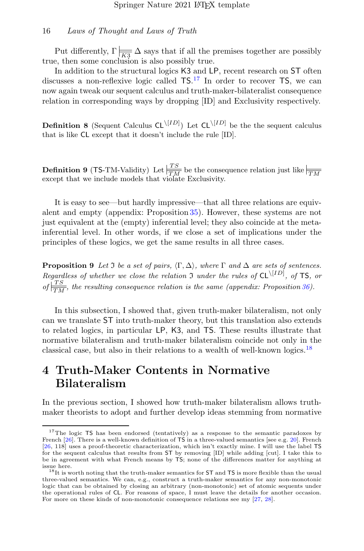Put differently,  $\Gamma$   $\frac{1}{\sqrt{K^3}} \Delta$  says that if all the premises together are possibly true, then some conclusion is also possibly true.

In addition to the structural logics K3 and LP, recent research on ST often discusses a non-reflexive logic called  $TS$ .<sup>[17](#page-15-0)</sup> In order to recover TS, we can now again tweak our sequent calculus and truth-maker-bilateralist consequence relation in corresponding ways by dropping [ID] and Exclusivity respectively.

**Definition 8** (Sequent Calculus  $CL^{|[ID]}$ ) Let  $CL^{|[ID]}$  be the the sequent calculus that is like CL except that it doesn't include the rule [ID].

**Definition 9** (TS-TM-Validity) Let  $\frac{TS}{TM}$  be the consequence relation just like  $\frac{TN}{TM}$  except that we include models that violate Exclusivity.

It is easy to see—but hardly impressive—that all three relations are equivalent and empty (appendix: Proposition [35\)](#page-28-3). However, these systems are not just equivalent at the (empty) inferential level; they also coincide at the metainferential level. In other words, if we close a set of implications under the principles of these logics, we get the same results in all three cases.

**Proposition 9** Let  $\Im$  be a set of pairs,  $\langle \Gamma, \Delta \rangle$ , where  $\Gamma$  and  $\Delta$  are sets of sentences. Regardless of whether we close the relation  $\mathfrak I$  under the rules of  $CL^{\langle ID \rangle}$ , of TS, or of  $\frac{|TS|}{TN}$ , the resulting consequence relation is the same (appendix: Proposition [36\)](#page-29-0).

In this subsection, I showed that, given truth-maker bilateralism, not only can we translate ST into truth-maker theory, but this translation also extends to related logics, in particular LP, K3, and TS. These results illustrate that normative bilateralism and truth-maker bilateralism coincide not only in the classical case, but also in their relations to a wealth of well-known logics.<sup>[18](#page-15-1)</sup>

## 4 Truth-Maker Contents in Normative Bilateralism

In the previous section, I showed how truth-maker bilateralism allows truthmaker theorists to adopt and further develop ideas stemming from normative

<span id="page-15-0"></span><sup>&</sup>lt;sup>17</sup>The logic TS has been endorsed (tentatively) as a response to the semantic paradoxes by French [\[26\]](#page-33-0). There is a well-known definition of TS in a three-valued semantics [see e.g. [20\]](#page-32-8). French [\[26,](#page-33-0) 118] uses a proof-theoretic characterization, which isn't exactly mine. I will use the label TS for the sequent calculus that results from ST by removing [ID] while adding [cut]. I take this to be in agreement with what French means by TS; none of the differences matter for anything at issue here.

<span id="page-15-1"></span> $^{18}{\rm It}$  is worth noting that the truth-maker semantics for ST and TS is more flexible than the usual three-valued semantics. We can, e.g., construct a truth-maker semantics for any non-monotonic logic that can be obtained by closing an arbitrary (non-monotonic) set of atomic sequents under the operational rules of CL. For reasons of space, I must leave the details for another occasion. For more on these kinds of non-monotonic consequence relations see my [\[27,](#page-33-1) [28\]](#page-33-2).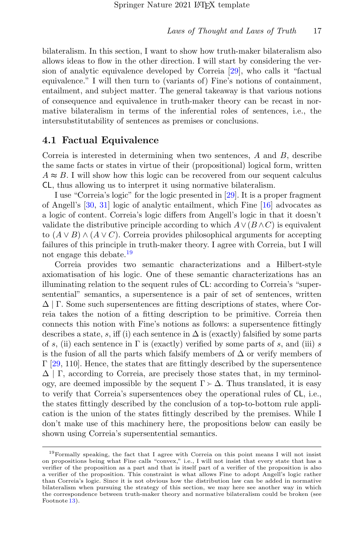bilateralism. In this section, I want to show how truth-maker bilateralism also allows ideas to flow in the other direction. I will start by considering the version of analytic equivalence developed by Correia [\[29\]](#page-33-3), who calls it "factual equivalence." I will then turn to (variants of) Fine's notions of containment, entailment, and subject matter. The general takeaway is that various notions of consequence and equivalence in truth-maker theory can be recast in normative bilateralism in terms of the inferential roles of sentences, i.e., the intersubstitutability of sentences as premises or conclusions.

### 4.1 Factual Equivalence

Correia is interested in determining when two sentences, A and B, describe the same facts or states in virtue of their (propositional) logical form, written  $A \approx B$ . I will show how this logic can be recovered from our sequent calculus CL, thus allowing us to interpret it using normative bilateralism.

I use "Correia's logic" for the logic presented in [\[29\]](#page-33-3). It is a proper fragment of Angell's [\[30,](#page-33-4) [31\]](#page-33-5) logic of analytic entailment, which Fine [\[16\]](#page-32-4) advocates as a logic of content. Correia's logic differs from Angell's logic in that it doesn't validate the distributive principle according to which  $A \vee (B \wedge C)$  is equivalent to  $(A \vee B) \wedge (A \vee C)$ . Correia provides philosophical arguments for accepting failures of this principle in truth-maker theory. I agree with Correia, but I will not engage this debate.<sup>[19](#page-16-0)</sup>

Correia provides two semantic characterizations and a Hilbert-style axiomatisation of his logic. One of these semantic characterizations has an illuminating relation to the sequent rules of CL: according to Correia's "supersentential" semantics, a supersentence is a pair of set of sentences, written  $\Delta$  | Γ. Some such supersentences are fitting descriptions of states, where Correia takes the notion of a fitting description to be primitive. Correia then connects this notion with Fine's notions as follows: a supersentence fittingly describes a state, s, iff (i) each sentence in  $\Delta$  is (exactly) falsified by some parts of s, (ii) each sentence in  $\Gamma$  is (exactly) verified by some parts of s, and (iii) s is the fusion of all the parts which falsify members of  $\Delta$  or verify members of  $\Gamma$  [\[29,](#page-33-3) 110]. Hence, the states that are fittingly described by the supersentence  $\Delta$  | Γ, according to Correia, are precisely those states that, in my terminology, are deemed impossible by the sequent  $\Gamma \succ \Delta$ . Thus translated, it is easy to verify that Correia's supersentences obey the operational rules of CL, i.e., the states fittingly described by the conclusion of a top-to-bottom rule application is the union of the states fittingly described by the premises. While I don't make use of this machinery here, the propositions below can easily be shown using Correia's supersentential semantics.

<span id="page-16-0"></span> $19$ Formally speaking, the fact that I agree with Correia on this point means I will not insist on propositions being what Fine calls "convex," i.e., I will not insist that every state that has a verifier of the proposition as a part and that is itself part of a verifier of the proposition is also a verifier of the proposition. This constraint is what allows Fine to adopt Angell's logic rather than Correia's logic. Since it is not obvious how the distribution law can be added in normative bilateralism when pursuing the strategy of this section, we may here see another way in which the correspondence between truth-maker theory and normative bilateralism could be broken (see Footnote [13\)](#page-11-0).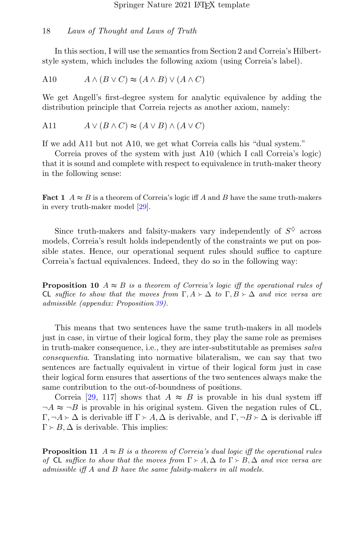In this section, I will use the semantics from Section 2 and Correia's Hilbertstyle system, which includes the following axiom (using Correia's label).

A10 
$$
A \wedge (B \vee C) \approx (A \wedge B) \vee (A \wedge C)
$$

We get Angell's first-degree system for analytic equivalence by adding the distribution principle that Correia rejects as another axiom, namely:

A11 
$$
A \lor (B \land C) \approx (A \lor B) \land (A \lor C)
$$

If we add A11 but not A10, we get what Correia calls his "dual system."

Correia proves of the system with just A10 (which I call Correia's logic) that it is sound and complete with respect to equivalence in truth-maker theory in the following sense:

**Fact 1**  $A \approx B$  is a theorem of Correia's logic iff A and B have the same truth-makers in every truth-maker model [\[29\]](#page-33-3).

Since truth-makers and falsity-makers vary independently of  $S^{\diamondsuit}$  across models, Correia's result holds independently of the constraints we put on possible states. Hence, our operational sequent rules should suffice to capture Correia's factual equivalences. Indeed, they do so in the following way:

**Proposition 10**  $A \approx B$  is a theorem of Correia's logic iff the operational rules of CL suffice to show that the moves from  $\Gamma, A \succ \Delta$  to  $\Gamma, B \succ \Delta$  and vice versa are admissible (appendix: Proposition [39\)](#page-30-0).

This means that two sentences have the same truth-makers in all models just in case, in virtue of their logical form, they play the same role as premises in truth-maker consequence, i.e., they are inter-substitutable as premises salva consequentia. Translating into normative bilateralism, we can say that two sentences are factually equivalent in virtue of their logical form just in case their logical form ensures that assertions of the two sentences always make the same contribution to the out-of-boundness of positions.

Correia [\[29,](#page-33-3) 117] shows that  $A \approx B$  is provable in his dual system iff  $\neg A \approx \neg B$  is provable in his original system. Given the negation rules of CL,  $\Gamma, \neg A \rightarrow \Delta$  is derivable iff  $\Gamma \rightarrow A$ ,  $\Delta$  is derivable, and  $\Gamma, \neg B \rightarrow \Delta$  is derivable iff  $\Gamma \succ B$ ,  $\Delta$  is derivable. This implies:

**Proposition 11**  $A \approx B$  is a theorem of Correia's dual logic iff the operational rules of CL suffice to show that the moves from  $\Gamma \succ A$ ,  $\Delta$  to  $\Gamma \succ B$ ,  $\Delta$  and vice versa are admissible iff A and B have the same falsity-makers in all models.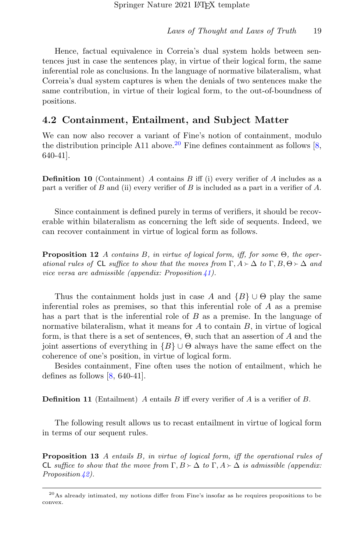Hence, factual equivalence in Correia's dual system holds between sentences just in case the sentences play, in virtue of their logical form, the same inferential role as conclusions. In the language of normative bilateralism, what Correia's dual system captures is when the denials of two sentences make the same contribution, in virtue of their logical form, to the out-of-boundness of positions.

### 4.2 Containment, Entailment, and Subject Matter

We can now also recover a variant of Fine's notion of containment, modulo the distribution principle A11 above.<sup>[20](#page-18-0)</sup> Fine defines containment as follows [\[8,](#page-31-3) 640-41].

**Definition 10** (Containment) A contains B iff (i) every verifier of A includes as a part a verifier of B and (ii) every verifier of B is included as a part in a verifier of A.

Since containment is defined purely in terms of verifiers, it should be recoverable within bilateralism as concerning the left side of sequents. Indeed, we can recover containment in virtue of logical form as follows.

**Proposition 12** A contains B, in virtue of logical form, iff, for some  $\Theta$ , the operational rules of CL suffice to show that the moves from  $\Gamma, A \succ \Delta$  to  $\Gamma, B, \Theta \succ \Delta$  and vice versa are admissible (appendix: Proposition  $\angle 1$ ).

Thus the containment holds just in case A and  $\{B\} \cup \Theta$  play the same inferential roles as premises, so that this inferential role of A as a premise has a part that is the inferential role of  $B$  as a premise. In the language of normative bilateralism, what it means for  $A$  to contain  $B$ , in virtue of logical form, is that there is a set of sentences,  $\Theta$ , such that an assertion of A and the joint assertions of everything in  ${B} \cup \Theta$  always have the same effect on the coherence of one's position, in virtue of logical form.

Besides containment, Fine often uses the notion of entailment, which he defines as follows  $[8, 640-41]$ .

**Definition 11** (Entailment) A entails B iff every verifier of A is a verifier of B.

The following result allows us to recast entailment in virtue of logical form in terms of our sequent rules.

Proposition 13 A entails B, in virtue of logical form, iff the operational rules of CL suffice to show that the move from  $\Gamma, B \succ \Delta$  to  $\Gamma, A \succ \Delta$  is admissible (appendix: Proposition  $\frac{1}{2}$ .

<span id="page-18-0"></span><sup>20</sup>As already intimated, my notions differ from Fine's insofar as he requires propositions to be convex.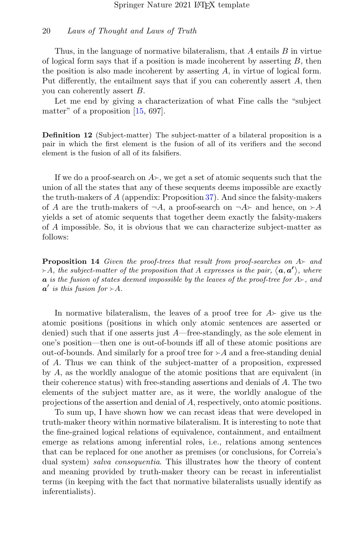Thus, in the language of normative bilateralism, that  $A$  entails  $B$  in virtue of logical form says that if a position is made incoherent by asserting  $B$ , then the position is also made incoherent by asserting  $A$ , in virtue of logical form. Put differently, the entailment says that if you can coherently assert A, then you can coherently assert B.

Let me end by giving a characterization of what Fine calls the "subject matter" of a proposition  $[15, 697]$ .

Definition 12 (Subject-matter) The subject-matter of a bilateral proposition is a pair in which the first element is the fusion of all of its verifiers and the second element is the fusion of all of its falsifiers.

If we do a proof-search on  $A_{\succeq}$ , we get a set of atomic sequents such that the union of all the states that any of these sequents deems impossible are exactly the truth-makers of A (appendix: Proposition [37\)](#page-29-1). And since the falsity-makers of A are the truth-makers of  $\neg A$ , a proof-search on  $\neg A$  and hence, on  $\succ A$ yields a set of atomic sequents that together deem exactly the falsity-makers of A impossible. So, it is obvious that we can characterize subject-matter as follows:

**Proposition 14** Given the proof-trees that result from proof-searches on  $A \rightarrow$  and  $\rightarrow$  A, the subject-matter of the proposition that A expresses is the pair,  $\langle a, a' \rangle$ , where **a** is the fusion of states deemed impossible by the leaves of the proof-tree for  $A_{\text{P}}$ , and  $a'$  is this fusion for  $\succ A$ .

In normative bilateralism, the leaves of a proof tree for  $A\rightarrow$  give us the atomic positions (positions in which only atomic sentences are asserted or denied) such that if one asserts just A—free-standingly, as the sole element in one's position—then one is out-of-bounds iff all of these atomic positions are out-of-bounds. And similarly for a proof tree for  $\geq A$  and a free-standing denial of A. Thus we can think of the subject-matter of a proposition, expressed by A, as the worldly analogue of the atomic positions that are equivalent (in their coherence status) with free-standing assertions and denials of A. The two elements of the subject matter are, as it were, the worldly analogue of the projections of the assertion and denial of A, respectively, onto atomic positions.

To sum up, I have shown how we can recast ideas that were developed in truth-maker theory within normative bilateralism. It is interesting to note that the fine-grained logical relations of equivalence, containment, and entailment emerge as relations among inferential roles, i.e., relations among sentences that can be replaced for one another as premises (or conclusions, for Correia's dual system) *salva consequentia*. This illustrates how the theory of content and meaning provided by truth-maker theory can be recast in inferentialist terms (in keeping with the fact that normative bilateralists usually identify as inferentialists).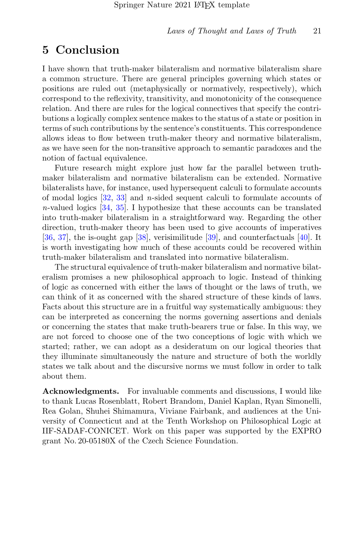## 5 Conclusion

I have shown that truth-maker bilateralism and normative bilateralism share a common structure. There are general principles governing which states or positions are ruled out (metaphysically or normatively, respectively), which correspond to the reflexivity, transitivity, and monotonicity of the consequence relation. And there are rules for the logical connectives that specify the contributions a logically complex sentence makes to the status of a state or position in terms of such contributions by the sentence's constituents. This correspondence allows ideas to flow between truth-maker theory and normative bilateralism, as we have seen for the non-transitive approach to semantic paradoxes and the notion of factual equivalence.

Future research might explore just how far the parallel between truthmaker bilateralism and normative bilateralism can be extended. Normative bilateralists have, for instance, used hypersequent calculi to formulate accounts of modal logics [\[32,](#page-33-6) [33\]](#page-33-7) and n-sided sequent calculi to formulate accounts of n-valued logics [\[34,](#page-33-8) [35\]](#page-33-9). I hypothesize that these accounts can be translated into truth-maker bilateralism in a straightforward way. Regarding the other direction, truth-maker theory has been used to give accounts of imperatives [\[36,](#page-33-10) [37\]](#page-33-11), the is-ought gap [\[38\]](#page-33-12), verisimilitude [\[39\]](#page-34-0), and counterfactuals [\[40\]](#page-34-1). It is worth investigating how much of these accounts could be recovered within truth-maker bilateralism and translated into normative bilateralism.

The structural equivalence of truth-maker bilateralism and normative bilateralism promises a new philosophical approach to logic. Instead of thinking of logic as concerned with either the laws of thought or the laws of truth, we can think of it as concerned with the shared structure of these kinds of laws. Facts about this structure are in a fruitful way systematically ambiguous: they can be interpreted as concerning the norms governing assertions and denials or concerning the states that make truth-bearers true or false. In this way, we are not forced to choose one of the two conceptions of logic with which we started; rather, we can adopt as a desideratum on our logical theories that they illuminate simultaneously the nature and structure of both the worldly states we talk about and the discursive norms we must follow in order to talk about them.

Acknowledgments. For invaluable comments and discussions, I would like to thank Lucas Rosenblatt, Robert Brandom, Daniel Kaplan, Ryan Simonelli, Rea Golan, Shuhei Shimamura, Viviane Fairbank, and audiences at the University of Connecticut and at the Tenth Workshop on Philosophical Logic at IIF-SADAF-CONICET. Work on this paper was supported by the EXPRO grant No. 20-05180X of the Czech Science Foundation.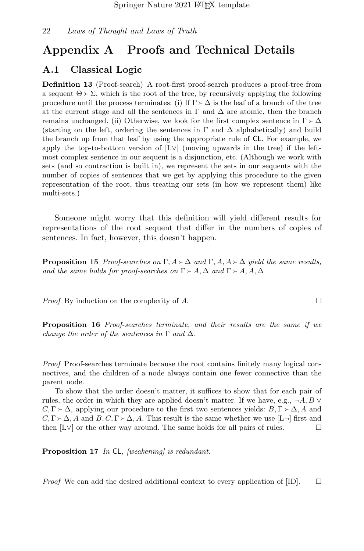## Appendix A Proofs and Technical Details

### A.1 Classical Logic

Definition 13 (Proof-search) A root-first proof-search produces a proof-tree from a sequent  $\Theta \succ \Sigma$ , which is the root of the tree, by recursively applying the following procedure until the process terminates: (i) If  $\Gamma \succ \Delta$  is the leaf of a branch of the tree at the current stage and all the sentences in  $\Gamma$  and  $\Delta$  are atomic, then the branch remains unchanged. (ii) Otherwise, we look for the first complex sentence in  $\Gamma \succ \Delta$ (starting on the left, ordering the sentences in  $\Gamma$  and  $\Delta$  alphabetically) and build the branch up from that leaf by using the appropriate rule of CL. For example, we apply the top-to-bottom version of  $[L \vee]$  (moving upwards in the tree) if the leftmost complex sentence in our sequent is a disjunction, etc. (Although we work with sets (and so contraction is built in), we represent the sets in our sequents with the number of copies of sentences that we get by applying this procedure to the given representation of the root, thus treating our sets (in how we represent them) like multi-sets.)

Someone might worry that this definition will yield different results for representations of the root sequent that differ in the numbers of copies of sentences. In fact, however, this doesn't happen.

**Proposition 15** Proof-searches on  $\Gamma$ ,  $A \succ \Delta$  and  $\Gamma$ ,  $A$ ,  $A \succ \Delta$  yield the same results, and the same holds for proof-searches on  $\Gamma > A$ ,  $\Delta$  and  $\Gamma > A$ ,  $A$ ,  $\Delta$ 

*Proof* By induction on the complexity of A.

Proposition 16 Proof-searches terminate, and their results are the same if we change the order of the sentences in  $\Gamma$  and  $\Delta$ .

Proof Proof-searches terminate because the root contains finitely many logical connectives, and the children of a node always contain one fewer connective than the parent node.

To show that the order doesn't matter, it suffices to show that for each pair of rules, the order in which they are applied doesn't matter. If we have, e.g.,  $\neg A, B \vee$  $C, \Gamma \succ \Delta$ , applying our procedure to the first two sentences yields:  $B, \Gamma \succ \Delta$ , A and  $C, \Gamma \succ \Delta$ , A and  $B, C, \Gamma \succ \Delta$ , A. This result is the same whether we use  $[L]$  first and then  $[L \vee]$  or the other way around. The same holds for all pairs of rules. then [L∨] or the other way around. The same holds for all pairs of rules.

<span id="page-21-0"></span>**Proposition 17** In CL, [weakening] is redundant.

*Proof* We can add the desired additional context to every application of [ID].  $\Box$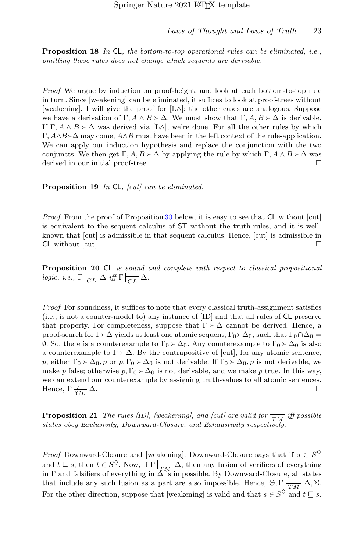<span id="page-22-2"></span>**Proposition 18** In CL, the bottom-to-top operational rules can be eliminated, i.e., omitting these rules does not change which sequents are derivable.

Proof We argue by induction on proof-height, and look at each bottom-to-top rule in turn. Since [weakening] can be eliminated, it suffices to look at proof-trees without [weakening]. I will give the proof for [L∧]; the other cases are analogous. Suppose we have a derivation of  $\Gamma, A \wedge B \succ \Delta$ . We must show that  $\Gamma, A, B \succ \Delta$  is derivable. If  $\Gamma, A \wedge B \succ \Delta$  was derived via  $[L \wedge]$ , we're done. For all the other rules by which  $\Gamma$ ,  $A \wedge B \wedge \Delta$  may come,  $A \wedge B$  must have been in the left context of the rule-application. We can apply our induction hypothesis and replace the conjunction with the two conjuncts. We then get  $\Gamma$ ,  $A$ ,  $B \succ \Delta$  by applying the rule by which  $\Gamma$ ,  $A \wedge B \succ \Delta$  was derived in our initial proof-tree. derived in our initial proof-tree.

<span id="page-22-1"></span>**Proposition 19** In CL,  $\left| \text{cut} \right|$  can be eliminated.

Proof From the proof of Proposition [30](#page-27-0) below, it is easy to see that CL without [cut] is equivalent to the sequent calculus of ST without the truth-rules, and it is wellknown that [cut] is admissible in that sequent calculus. Hence, [cut] is admissible in  $CL$  without [cut].

<span id="page-22-0"></span>Proposition 20 CL is sound and complete with respect to classical propositional logic, i.e.,  $\Gamma \mid_{\overline{CL}} \Delta$  iff  $\Gamma \mid_{\overline{CL}} \Delta$ .

Proof For soundness, it suffices to note that every classical truth-assignment satisfies (i.e., is not a counter-model to) any instance of [ID] and that all rules of CL preserve that property. For completeness, suppose that  $\Gamma \succ \Delta$  cannot be derived. Hence, a proof-search for  $\Gamma \succ \Delta$  yields at least one atomic sequent,  $\Gamma_0 \succ \Delta_0$ , such that  $\Gamma_0 \cap \Delta_0 =$  $\emptyset$ . So, there is a counterexample to Γ<sub>0</sub> ≻ Δ<sub>0</sub>. Any counterexample to Γ<sub>0</sub> ≻ Δ<sub>0</sub> is also a counterexample to  $\Gamma \succ \Delta$ . By the contrapositive of [cut], for any atomic sentence, p, either  $\Gamma_0 \rightarrow \Delta_0$ , p or p,  $\Gamma_0 \rightarrow \Delta_0$  is not derivable. If  $\Gamma_0 \rightarrow \Delta_0$ , p is not derivable, we make p false; otherwise  $p, \Gamma_0 \rightarrow \Delta_0$  is not derivable, and we make p true. In this way, we can extend our counterexample by assigning truth-values to all atomic sentences. Hence, Γ $\not\equiv \Delta$ .  $\overleftarrow{CL}$   $\Delta$ .

<span id="page-22-3"></span>**Proposition 21** The rules [ID], [weakening], and [cut] are valid for  $\frac{1}{T M}$  iff possible states obey Exclusivity, Downward-Closure, and Exhaustivity respectively.

*Proof* Downward-Closure and [weakening]: Downward-Closure says that if  $s \in S^{\diamondsuit}$ and  $t \subseteq s$ , then  $t \in S^{\diamond}$ . Now, if  $\Gamma \mid \overline{TM} \triangle$ , then any fusion of verifiers of everything in  $\Gamma$  and falsifiers of everything in  $\triangle$  is impossible. By Downward-Closure, all states that include any such fusion as a part are also impossible. Hence,  $\Theta, \Gamma$   $\boxed{\frac{\Gamma}{TM}} \Delta, \Sigma$ . For the other direction, suppose that [weakening] is valid and that  $s \in S^{\diamond}$  and  $t \sqsubseteq s$ .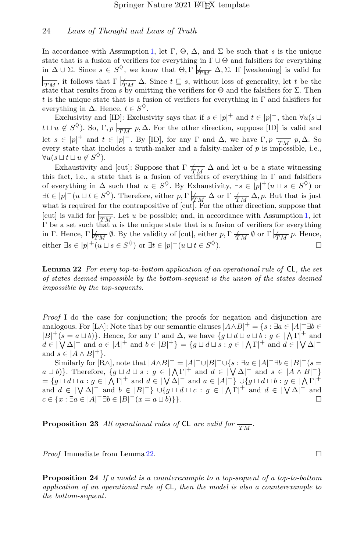In accordance with Assumption [1,](#page-5-3) let  $\Gamma$ ,  $\Theta$ ,  $\Delta$ , and  $\Sigma$  be such that s is the unique state that is a fusion of verifiers for everything in  $\Gamma \cup \Theta$  and falsifiers for everything in  $\Delta \cup \Sigma$ . Since  $s \in S^{\lozenge}$ , we know that  $\Theta, \Gamma \not\models_{\overline{TM}} \Delta, \Sigma$ . If [weakening] is valid for  $\overline{\text{T}_{IM}}$ , it follows that  $\Gamma \not\models \overline{\text{T}_{M}} \Delta$ . Since  $t \subseteq s$ , without loss of generality, let t be the state that results from s by omitting the verifiers for  $\Theta$  and the falsifiers for  $\Sigma$ . Then t is the unique state that is a fusion of verifiers for everything in  $\Gamma$  and falsifiers for everything in  $\Delta$ . Hence,  $t \in S^{\diamondsuit}$ .

Exclusivity and [ID]: Exclusivity says that if  $s \in |p|^{+}$  and  $t \in |p|^{-}$ , then  $\forall u(s \sqcup$  $t \sqcup u \notin S^{\lozenge}$ ). So,  $\Gamma, p \mid_{\overline{TM}} p, \Delta$ . For the other direction, suppose [ID] is valid and let  $s \in |p|^{+}$  and  $t \in |p|^{-}$ . By [ID], for any  $\Gamma$  and  $\Delta$ , we have  $\Gamma, p \nightharpoonup_{\overline{TM}} p$ ,  $\Delta$ . So every state that includes a truth-maker and a falsity-maker of  $p$  is impossible, i.e.,  $\forall u (s \sqcup t \sqcup u \notin S^{\diamondsuit}).$ 

Exhaustivity and [cut]: Suppose that  $\Gamma \not\models \frac{\mathcal{L}}{\mathcal{L} \mathcal{M}} \Delta$  and let u be a state witnessing this fact, i.e., a state that is a fusion of verifiers of everything in  $\Gamma$  and falsifiers of everything in  $\Delta$  such that  $u \in S^{\diamondsuit}$ . By Exhaustivity,  $\exists s \in [p]^+(u \sqcup s \in S^{\diamondsuit})$  or  $\exists t \in |p|^-(u \sqcup t \in S^{\lozenge})$ . Therefore, either  $p, \Gamma \not\models \overline{TM} \Delta$  or  $\Gamma \not\models \overline{TM} \Delta, p$ . But that is just what is required for the contrapositive of  $\lbrack \operatorname{cut} \rbrack$ . For the other direction, suppose that [cut] is valid for  $\frac{1}{TM}$ . Let u be possible; and, in accordance with Assumption [1,](#page-5-3) let  $\Gamma$  be a set such that u is the unique state that is a fusion of verifiers for everything in Γ. Hence,  $\Gamma \not\equiv \emptyset$ . By the validity of [cut], either p,  $\Gamma \not\equiv \emptyset$  or  $\Gamma \not\equiv \emptyset$  p. Hence, either  $\exists s \in |p|^{+} (u \sqcup s \in S^{\diamondsuit})$  or  $\exists t \in |p|^{-} (u \sqcup t \in S)$  $\Diamond$ ).

<span id="page-23-0"></span>**Lemma 22** For every top-to-bottom application of an operational rule of  $CL$ , the set of states deemed impossible by the bottom-sequent is the union of the states deemed impossible by the top-sequents.

Proof I do the case for conjunction; the proofs for negation and disjunction are analogous. For [L∧]: Note that by our semantic clauses  $|A \wedge B|^+ = \{s : \exists a \in |A|^+ \exists b \in A\}$  $|B|^+(s = a \sqcup b)$ . Hence, for any  $\Gamma$  and  $\Delta$ , we have  $\{g \sqcup d \sqcup a \sqcup b : g \in |\Lambda \Gamma|^+ \text{ and } \Gamma\}$  $d \in |\bigvee \Delta|^{-}$  and  $a \in |A|^{+}$  and  $b \in |B|^{+}$  =  $\{g \sqcup d \sqcup s : g \in |\bigwedge \Gamma|^{+}$  and  $d \in |\bigvee \Delta|^{-}$ and  $s \in |A \wedge B|^+\}.$ 

Similarly for  $[R\wedge]$ , note that  $|A\wedge B|^{-} = |A|^{-} \cup |B|^{-} \cup \{s : \exists a \in |A|^{-} \exists b \in |B|^{-} (s =$  $a \sqcup b$ }. Therefore,  $\{g \sqcup d \sqcup s : g \in |\Lambda \Gamma|^+ \text{ and } d \in |\bigvee \Delta|^- \text{ and } s \in |A \wedge B|^-\}$  $=\{g\sqcup d\sqcup a:g\in\mathcal{A}\}\cap\mathcal{A}^{\dagger}$  and  $d\in\mathcal{A}\setminus\Delta\mathcal{A}^{\dagger}$  and  $a\in\mathcal{A}\setminus\mathcal{A}^{\dagger}$   $\cup\{g\sqcup d\sqcup b:g\in\mathcal{A}\}\setminus\mathcal{A}^{\dagger}$ and  $d \in |\nabla \Delta|^-$  and  $b \in |B|^ \cup$   $\{g \sqcup d \sqcup c : g \in |\Lambda \Gamma|^+ \text{ and } d \in |\nabla \Delta|^- \text{ and } d \in |\Lambda \Gamma|$  $c \in \{x : \exists a \in |A|^{-} \exists b \in |B|^{-}(x = a \sqcup b)\}\}.$ 

<span id="page-23-1"></span>**Proposition 23** All operational rules of CL are valid for  $\frac{1}{T M}$ .

*Proof* Immediate from Lemma [22.](#page-23-0) □

<span id="page-23-2"></span>Proposition 24 If a model is a counterexample to a top-sequent of a top-to-bottom application of an operational rule of CL, then the model is also a counterexample to the bottom-sequent.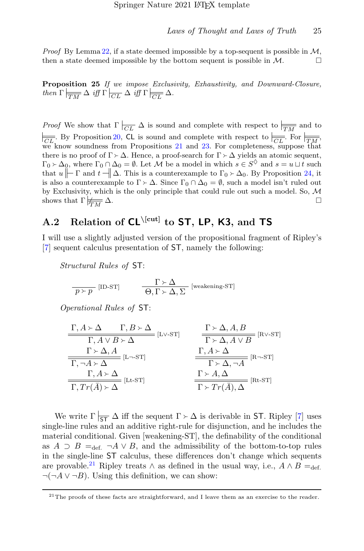*Proof* By Lemma [22,](#page-23-0) if a state deemed impossible by a top-sequent is possible in  $M$ . then a state deemed impossible by the bottom sequent is possible in  $\mathcal{M}$ .

<span id="page-24-0"></span>Proposition 25 If we impose Exclusivity, Exhaustivity, and Downward-Closure, then  $\Gamma \mid_{\overline{TM}} \Delta$  iff  $\Gamma \mid_{\overline{CL}} \Delta$  iff  $\Gamma \mid_{\overline{CL}} \Delta$ .

*Proof* We show that  $\Gamma$   $\boxed{CL}$   $\Delta$  is sound and complete with respect to  $\boxed{\frac{1}{TM}}$  and to  $\frac{\sqrt{CL}}{\sqrt{CL}}$ . By Proposition [20,](#page-22-0) CL is sound and complete with respect to  $\frac{\sqrt{CL}}{\sqrt{CL}}$ . For  $\frac{\sqrt{TN}}{\sqrt{TN}}$ , we know soundness from Propositions [21](#page-22-3) and [23.](#page-23-1) For completeness, suppose that there is no proof of  $\Gamma \succ \Delta$ . Hence, a proof-search for  $\Gamma \succ \Delta$  yields an atomic sequent,  $\Gamma_0 \rightarrow \Delta_0$ , where  $\Gamma_0 \cap \Delta_0 = \emptyset$ . Let M be a model in which  $s \in S^{\diamondsuit}$  and  $s = u \sqcup t$  such that  $u \models \Gamma$  and  $t \dashv \Box \Delta$ . This is a countercy angle to  $\Gamma_0 \searrow \Delta_0$ . By Proposition 24, it that  $u \|\Gamma$  and  $t \|\Delta$ . This is a counterexample to  $\Gamma_0 \rightarrow \Delta_0$ . By Proposition [24,](#page-23-2) it is also a counterexample to  $\Gamma \succ \Delta$ . Since  $\Gamma_0 \cap \Delta_0 = \emptyset$ , such a model isn't ruled out by Exclusivity, which is the only principle that could rule out such a model. So,  $M$ shows that  $\Gamma \not\equiv \Delta$ .  $\frac{1}{TM}$   $\Delta$ .

## A.2 Relation of  $CL^{\text{[cut]}}$  to ST, LP, K3, and TS

I will use a slightly adjusted version of the propositional fragment of Ripley's [\[7\]](#page-31-2) sequent calculus presentation of ST, namely the following:

Structural Rules of ST:

$$
\frac{\Gamma \succ \Delta}{p \succ p} \quad [\text{ID-ST}] \quad \frac{\Gamma \succ \Delta}{\Theta, \Gamma \succ \Delta, \Sigma} \quad [\text{weakening-ST}]
$$

Operational Rules of ST:

$$
\frac{\Gamma, A \succ \Delta \qquad \Gamma, B \succ \Delta}{\Gamma, A \vee B \succ \Delta} \quad [\text{L} \vee \text{-ST}] \qquad \frac{\Gamma \succ \Delta, A, B}{\Gamma \succ \Delta, A \vee B} \quad [\text{R} \vee \text{-ST}]
$$
\n
$$
\frac{\Gamma \succ \Delta, A}{\Gamma, \neg A \succ \Delta} \quad [\text{L} \neg \text{-ST}] \qquad \frac{\Gamma, A \succ \Delta}{\Gamma \succ \Delta, \neg A} \quad [\text{R} \neg \text{-ST}]
$$
\n
$$
\frac{\Gamma, A \succ \Delta}{\Gamma \succ \Delta, \neg A} \quad [\text{R} \neg \text{-ST}]
$$
\n
$$
\frac{\Gamma, A \succ \Delta}{\Gamma \succ \Delta, \neg A} \quad [\text{R} \neg \text{-ST}]
$$

We write  $\Gamma \mid_{\mathsf{ST}} \Delta$  iff the sequent  $\Gamma \succ \Delta$  is derivable in ST. Ripley [\[7\]](#page-31-2) uses single-line rules and an additive right-rule for disjunction, and he includes the material conditional. Given [weakening-ST], the definability of the conditional as  $A \supset B =_{def.} \neg A \vee B$ , and the admissibility of the bottom-to-top rules in the single-line ST calculus, these differences don't change which sequents are provable.<sup>[21](#page-24-1)</sup> Ripley treats  $\wedge$  as defined in the usual way, i.e.,  $A \wedge B =_{\text{def.}}$  $\neg(\neg A \lor \neg B)$ . Using this definition, we can show:

<span id="page-24-1"></span><sup>&</sup>lt;sup>21</sup>The proofs of these facts are straightforward, and I leave them as an exercise to the reader.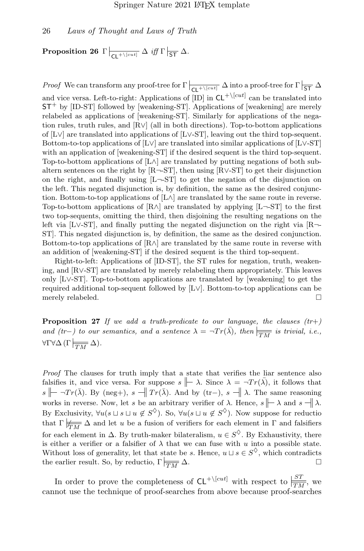<span id="page-25-0"></span> $\textbf{Proposition 26} \ \left. \Gamma \right|_{\textbf{CL}^{+ \setminus \textbf{[cut]}}} \Delta \ \textit{iff} \ \Gamma \left|_{\textbf{ST}} \ \Delta.$ 

*Proof* We can transform any proof-tree for  $\Gamma \mid_{\mathsf{CL}^+\setminus [cut]} \Delta$  into a proof-tree for  $\Gamma \mid_{\mathsf{ST}} \Delta$ and vice versa. Left-to-right: Applications of  $[ID]$  in  $CL^{+\setminus [cut]}$  can be translated into  $ST^+$  by [ID-ST] followed by [weakening-ST]. Applications of [weakening] are merely relabeled as applications of [weakening-ST]. Similarly for applications of the negation rules, truth rules, and [R∨] (all in both directions). Top-to-bottom applications of [L∨] are translated into applications of [L∨-ST], leaving out the third top-sequent. Bottom-to-top applications of [L∨] are translated into similar applications of [L∨-ST] with an application of [weakening-ST] if the desired sequent is the third top-sequent. Top-to-bottom applications of  $[L \wedge]$  are translated by putting negations of both subaltern sentences on the right by  $[R\neg S]$ , then using  $[R\vee S]$  to get their disjunction on the right, and finally using [L¬-ST] to get the negation of the disjunction on the left. This negated disjunction is, by definition, the same as the desired conjunction. Bottom-to-top applications of  $[L \wedge]$  are translated by the same route in reverse. Top-to-bottom applications of  $[R \land]$  are translated by applying  $[L \neg S T]$  to the first two top-sequents, omitting the third, then disjoining the resulting negations on the left via [L∨-ST], and finally putting the negated disjunction on the right via [R¬- ST]. This negated disjunction is, by definition, the same as the desired conjunction. Bottom-to-top applications of  $[R \wedge]$  are translated by the same route in reverse with an addition of [weakening-ST] if the desired sequent is the third top-sequent.

Right-to-left: Applications of [ID-ST], the ST rules for negation, truth, weakening, and [R∨-ST] are translated by merely relabeling them appropriately. This leaves only [L∨-ST]. Top-to-bottom applications are translated by [weakening] to get the required additional top-sequent followed by [L∨]. Bottom-to-top applications can be merely relabeled.  $\Box$ 

<span id="page-25-1"></span>**Proposition 27** If we add a truth-predicate to our language, the clauses  $(tr+)$ and (tr-) to our semantics, and a sentence  $\lambda = \neg Tr(\overline{\lambda})$ , then  $\vert \frac{\partial}{\partial TM}$  is trivial, i.e.,  $\forall \Gamma \forall \Delta \left( \Gamma \middle| \frac{\Box}{TM} \Delta \right).$ 

Proof The clauses for truth imply that a state that verifies the liar sentence also falsifies it, and vice versa. For suppose  $s \rightharpoonup \lambda$ . Since  $\lambda = \neg Tr(\bar{\lambda})$ , it follows that s  $\|\cdot\|$  ¬Tr( $\bar{\lambda}$ ). By (neg+), s  $\|\cdot\|$  Tr( $\bar{\lambda}$ ). And by (tr−), s  $\|\cdot\|$   $\lambda$ . The same reasoning works in reverse. Now, let s be an arbitrary verifier of  $\lambda$ . Hence,  $s \nightharpoonup \lambda$  and  $s \nightharpoonup \lambda$ . By Exclusivity,  $\forall u(s \sqcup s \sqcup u \notin S^{\diamondsuit})$ . So,  $\forall u(s \sqcup u \notin S^{\diamondsuit})$ . Now suppose for reduction that  $\Gamma \not\models \overline{TN} \Delta$  and let u be a fusion of verifiers for each element in  $\Gamma$  and falsifiers for each element in  $\Delta$ . By truth-maker bilateralism,  $u \in S^{\diamondsuit}$ . By Exhaustivity, there is either a verifier or a falsifier of  $\lambda$  that we can fuse with u into a possible state. Without loss of generality, let that state be s. Hence,  $u \sqcup s \in S^{\diamondsuit}$ , which contradicts the earlier result. So, by reductio,  $\Gamma \mid_{\overline{TM}} \Delta$ .

In order to prove the completeness of  $CL^{+\setminus [cut]}$  with respect to  $\frac{|ST|}{TM}$ , we cannot use the technique of proof-searches from above because proof-searches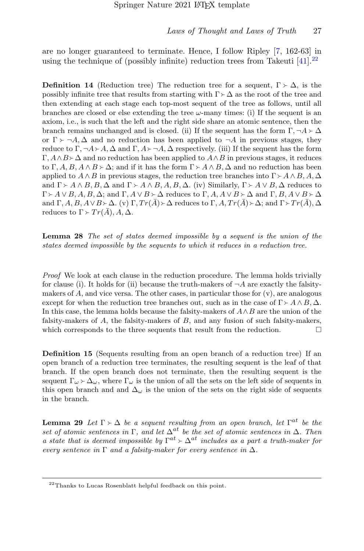are no longer guaranteed to terminate. Hence, I follow Ripley [\[7,](#page-31-2) 162-63] in using the technique of (possibly infinite) reduction trees from Takeuti  $[41]$ .<sup>[22](#page-26-0)</sup>

**Definition 14** (Reduction tree) The reduction tree for a sequent,  $\Gamma \succ \Delta$ , is the possibly infinite tree that results from starting with  $\Gamma \rightarrow \Delta$  as the root of the tree and then extending at each stage each top-most sequent of the tree as follows, until all branches are closed or else extending the tree  $\omega$ -many times: (i) If the sequent is an axiom, i.e., is such that the left and the right side share an atomic sentence, then the branch remains unchanged and is closed. (ii) If the sequent has the form  $\Gamma, \neg A \rightarrow \Delta$ or  $\Gamma \succ \neg A, \Delta$  and no reduction has been applied to  $\neg A$  in previous stages, they reduce to  $\Gamma$ ,  $\neg A \rightarrow A$ ,  $\Delta$  and  $\Gamma$ ,  $A \rightarrow \neg A$ ,  $\Delta$  respectively. (iii) If the sequent has the form  $\Gamma, A \wedge B \rangle \Delta$  and no reduction has been applied to  $A \wedge B$  in previous stages, it reduces to  $\Gamma$ ,  $A$ ,  $B$ ,  $A \wedge B \rangle \Delta$ ; and if it has the form  $\Gamma \rangle A \wedge B$ ,  $\Delta$  and no reduction has been applied to  $A \wedge B$  in previous stages, the reduction tree branches into  $\Gamma \succ A \wedge B$ ,  $A, \Delta$ and  $\Gamma \succ A \wedge B, B, \Delta$  and  $\Gamma \succ A \wedge B, A, B, \Delta$ . (iv) Similarly,  $\Gamma \succ A \vee B, \Delta$  reduces to  $\Gamma \succ A \vee B, A, B, \Delta$ ; and  $\Gamma, A \vee B \succ \Delta$  reduces to  $\Gamma, A, A \vee B \succ \Delta$  and  $\Gamma, B, A \vee B \succ \Delta$ and  $\Gamma$ , A, B, A  $\vee$  B  $\sim$   $\Delta$ . (v)  $\Gamma$ ,  $Tr(\bar{A}) \sim \Delta$  reduces to  $\Gamma$ , A,  $Tr(\bar{A}) \sim \Delta$ ; and  $\Gamma \sim Tr(\bar{A})$ ,  $\Delta$ reduces to  $\Gamma \succ Tr(A)$ ,  $A, \Delta$ .

<span id="page-26-2"></span>Lemma 28 The set of states deemed impossible by a sequent is the union of the states deemed impossible by the sequents to which it reduces in a reduction tree.

Proof We look at each clause in the reduction procedure. The lemma holds trivially for clause (i). It holds for (ii) because the truth-makers of  $\neg A$  are exactly the falsitymakers of A, and vice versa. The other cases, in particular those for  $(v)$ , are analogous except for when the reduction tree branches out, such as in the case of  $\Gamma \succ A \wedge B$ ,  $\Delta$ . In this case, the lemma holds because the falsity-makers of  $A \wedge B$  are the union of the falsity-makers of A, the falsity-makers of B, and any fusion of such falsity-makers, which corresponds to the three sequents that result from the reduction.  $\Box$ 

Definition 15 (Sequents resulting from an open branch of a reduction tree) If an open branch of a reduction tree terminates, the resulting sequent is the leaf of that branch. If the open branch does not terminate, then the resulting sequent is the sequent  $\Gamma_{\omega} \rightarrow \Delta_{\omega}$ , where  $\Gamma_{\omega}$  is the union of all the sets on the left side of sequents in this open branch and and  $\Delta_{\omega}$  is the union of the sets on the right side of sequents in the branch.

<span id="page-26-1"></span>**Lemma 29** Let  $\Gamma \succ \Delta$  be a sequent resulting from an open branch, let  $\Gamma^{at}$  be the set of atomic sentences in Γ, and let  $\Delta^{at}$  be the set of atomic sentences in  $\Delta$ . Then a state that is deemed impossible by  $\Gamma^{at} \geq \Delta^{at}$  includes as a part a truth-maker for every sentence in  $\Gamma$  and a falsity-maker for every sentence in  $\Delta$ .

<span id="page-26-0"></span><sup>22</sup>Thanks to Lucas Rosenblatt helpful feedback on this point.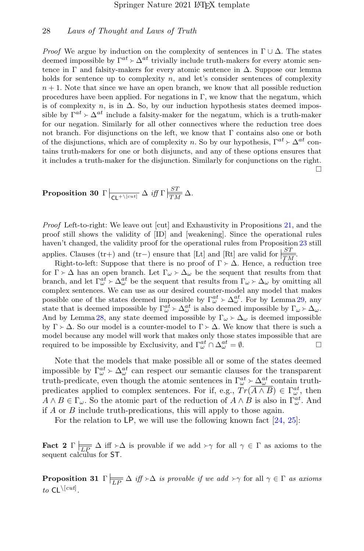*Proof* We argue by induction on the complexity of sentences in  $\Gamma \cup \Delta$ . The states deemed impossible by  $\Gamma^{at} \succ \Delta^{at}$  trivially include truth-makers for every atomic sentence in  $\Gamma$  and falsity-makers for every atomic sentence in  $\Delta$ . Suppose our lemma holds for sentence up to complexity  $n$ , and let's consider sentences of complexity  $n + 1$ . Note that since we have an open branch, we know that all possible reduction procedures have been applied. For negations in  $\Gamma$ , we know that the negatum, which is of complexity  $n$ , is in  $\Delta$ . So, by our induction hypothesis states deemed impossible by  $\Gamma^{at} \rightarrow \Delta^{at}$  include a falsity-maker for the negatum, which is a truth-maker for our negation. Similarly for all other connectives where the reduction tree does not branch. For disjunctions on the left, we know that Γ contains also one or both of the disjunctions, which are of complexity n. So by our hypothesis,  $\Gamma^{at} \geq \Delta^{at}$  contains truth-makers for one or both disjuncts, and any of these options ensures that it includes a truth-maker for the disjunction. Similarly for conjunctions on the right.  $\Box$ 

<span id="page-27-0"></span>**Proposition 30** 
$$
\Gamma \Big|_{\mathsf{CL}^{+\backslash [cut]}} \Delta \text{ iff } \Gamma \Big|_{\overline{TM}}^{\underline{ST}} \Delta.
$$

Proof Left-to-right: We leave out [cut] and Exhaustivity in Propositions [21,](#page-22-3) and the proof still shows the validity of [ID] and [weakening]. Since the operational rules haven't changed, the validity proof for the operational rules from Proposition [23](#page-23-1) still applies. Clauses (tr+) and (tr−) ensure that [Lt] and [Rt] are valid for  $\frac{ST}{TM}$ .

Right-to-left: Suppose that there is no proof of  $\Gamma \succ \Delta$ . Hence, a reduction tree for  $\Gamma \succ \Delta$  has an open branch. Let  $\Gamma_{\omega} \succ \Delta_{\omega}$  be the sequent that results from that branch, and let  $\Gamma_{\omega}^{at} \geq \Delta_{\omega}^{at}$  be the sequent that results from  $\Gamma_{\omega} \geq \Delta_{\omega}$  by omitting all complex sontoness. We can use as our desired souter model any model that makes complex sentences. We can use as our desired counter-model any model that makes possible one of the states deemed impossible by  $\Gamma_{\omega}^{at} \rightarrow \Delta_{\omega}^{at}$ . For by Lemma [29,](#page-26-1) any state that is deemed impossible by  $\Gamma^{at} \rightarrow \Delta^{at}$  is also deemed impossible by  $\Gamma \rightarrow \Delta$ state that is deemed impossible by  $\Gamma_{\omega}^{at} \succ \Delta_{\omega}^{at}$  is also deemed impossible by  $\Gamma_{\omega} \succ \Delta_{\omega}$ . And by Lemma [28,](#page-26-2) any state deemed impossible by  $\Gamma_{\omega} \rightarrow \Delta_{\omega}$  is deemed impossible by  $\Gamma \succ \Delta$ . So our model is a counter-model to  $\Gamma \succ \Delta$ . We know that there is such a model because any model will work that makes only those states impossible that are required to be impossible by Exclusivity, and  $\Gamma_{\omega}^{at} \cap \Delta_{\omega}^{at} = \emptyset$ .

Note that the models that make possible all or some of the states deemed impossible by  $\Gamma_{\omega}^{at} \rangle \Delta_{\omega}^{at}$  can respect our semantic clauses for the transparent<br>truth prodicate over though the atomic septences in  $\Gamma^{at} \rangle \Delta^{at}$  contain truth truth-predicate, even though the atomic sentences in  $\Gamma_{\omega}^{at} \sim \Delta_{\omega}^{at}$  contain truth-<br>predicates applied to complex sentences. For if a  $\sigma \sim \text{Tr}(\overline{A \wedge B}) \subset \Gamma^{at}$  then predicates applied to complex sentences. For if, e.g.,  $Tr(\overline{A \wedge B}) \in \Gamma_{\omega}^{at}$ , then  $A \wedge B \in \Gamma_{\omega}$ . So the atomic part of the reduction of  $A \wedge B$  is also in  $\Gamma_{\omega}^{at}$ . And if A or B include truth-predications, this will apply to those again.

For the relation to LP, we will use the following known fact [\[24,](#page-32-11) [25\]](#page-32-12):

**Fact 2**  $\Gamma$   $\overline{\phantom{a}}\overline{\phantom{a}}\overline{\phantom{a}}$   $\Gamma$   $\rightarrow \Delta$  is provable if we add  $\rightarrow \gamma$  for all  $\gamma \in \Gamma$  as axioms to the sequent calculus for ST.

<span id="page-27-1"></span>**Proposition 31**  $\Gamma$   $\overline{\phantom{a}}_{\overline{LP}} \Delta$  *iff*  $\succ \Delta$  *is provable if we add*  $\succ \gamma$  for all  $\gamma \in \Gamma$  *as axioms* to  $\mathsf{CL}^{\setminus [cut]}$ .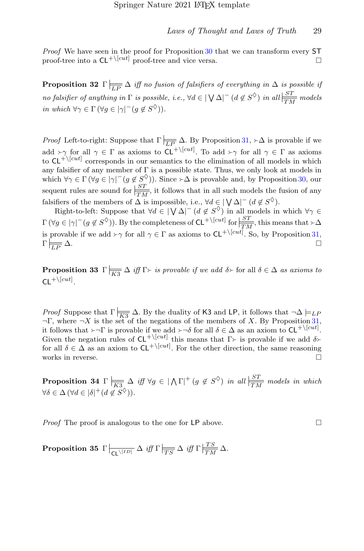Proof We have seen in the proof for Proposition [30](#page-27-0) that we can transform every ST proof-tree into a  $CL^{+\text{[cut]}}$  proof-tree and vice versa.

<span id="page-28-0"></span>**Proposition 32**  $\Gamma$   $\equiv \frac{\Delta}{LP} \Delta$  iff no fusion of falsifiers of everything in  $\Delta$  is possible if no falsifier of anything in  $\Gamma$  is possible, i.e.,  $\forall d \in |\bigvee \Delta|^{-1} (d \notin S^{\Diamond})$  in all  $\frac{|ST|}{TM}$  models in which  $\forall \gamma \in \Gamma \left( \forall g \in |\gamma|^{-} (g \notin S^{\lozenge}) \right)$ .

*Proof* Left-to-right: Suppose that  $\Gamma$   $\frac{1}{LP}$   $\Delta$ . By Proposition [31,](#page-27-1)  $\angle \Delta$  is provable if we add  $\succ \gamma$  for all  $\gamma \in \Gamma$  as axioms to  $\mathsf{CL}^{+\setminus [cut]}$ . To add  $\succ \gamma$  for all  $\gamma \in \Gamma$  as axioms to  $\mathsf{CL}^{+\setminus [cut]}$  corresponds in our semantics to the elimination of all models in which to  $CL^{+\text{Vert}}$  corresponds in our semantics to the elimination of all models in which any falsifier of any member of  $\Gamma$  is a possible state. Thus, we only look at models in which  $\forall \gamma \in \Gamma$  ( $\forall g \in |\gamma|^{-1} (g \notin S^{\lozenge})$ ). Since  $\succ \Delta$  is provable and, by Proposition [30,](#page-27-0) our sequent rules are sound for  $\frac{ST}{TM}$ , it follows that in all such models the fusion of any falsifiers of the members of  $\Delta$  is impossible, i.e.,  $\forall d \in |\bigvee \Delta|^{-1} (d \notin S^{\lozenge})$ .

Right-to-left: Suppose that  $\forall d \in |\bigvee \Delta|^{+}$  ( $d \notin S^{\circ}$ ) in all models in which  $\forall \gamma \in$  $\Gamma(\forall g \in |\gamma|^-(g \notin S^{\lozenge})$ ). By the completeness of  $CL^{+\setminus [cut]}$  for  $\frac{|ST|}{\sqrt{M}}$ , this means that  $\rightarrow \Delta$ is provable if we add  $\gamma \in \Gamma$  as axioms to  $CL^{+\text{[cut]}}$ . So, by Proposition [31,](#page-27-1)  $\Gamma \models \rightarrow \Delta$ .  $\overline{LP}$   $\Delta$ .

<span id="page-28-1"></span>**Proposition 33**  $\Gamma$   $\overline{K3}$   $\Delta$  *iff*  $\Gamma \rightarrow i$ *s provable if we add*  $\delta \rightarrow$  for all  $\delta \in \Delta$  *as axioms to*  $CL^{+\setminus [cut]}$ .

*Proof* Suppose that  $\Gamma$   $\frac{X}{K3}$   $\Delta$ . By the duality of K3 and LP, it follows that  $\neg \Delta \models_{LF}$  $\neg$ Γ, where  $\neg$ X is the set of the negations of the members of X. By Proposition [31,](#page-27-1) it follows that  $\rightarrow \Gamma$  is provable if we add  $\rightarrow \neg \delta$  for all  $\delta \in \Delta$  as an axiom to  $CL^{+ \text{cut}}$ . Given the negation rules of  $CL^{+\setminus [cut]}$  this means that  $\Gamma \succ$  is provable if we add  $\delta \succ$  for all  $\delta \subset \Delta$  as an axiom to  $Cl^{+\setminus [cut]}$  For the other direction, the same reasoning for all  $\delta \in \Delta$  as an axiom to  $\mathsf{CL}^{+\setminus [cut]}$ . For the other direction, the same reasoning works in reverse.

<span id="page-28-2"></span>**Proposition 34**  $\Gamma$   $\frac{1}{K3}$   $\Delta$  *iff*  $\forall g \in |\Lambda \Gamma|^+(g \notin S^{\lozenge})$  *in all*  $\frac{|ST|}{TM}$  models *in which*  $\forall \delta \in \Delta \, (\forall d \in |\delta|^+(d \notin S^{\diamondsuit}))$ .

*Proof* The proof is analogous to the one for LP above.  $\Box$ 

<span id="page-28-3"></span>Proposition 35  $\Gamma \big|_{\overline{{\mathsf{CL}} \setminus [ID]}} \Delta \text{ iff } \Gamma \big|_{\overline{TS}} \Delta \text{ iff } \Gamma \big|_{\overline{TN}} \Delta.$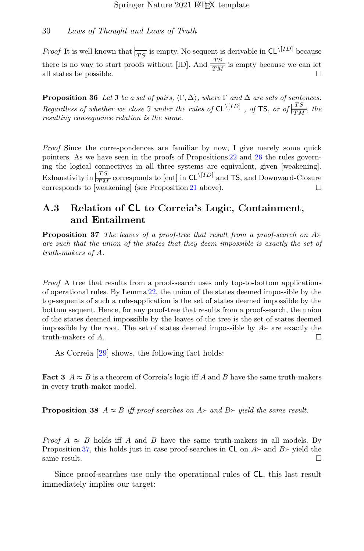*Proof* It is well known that  $\frac{1}{TS}$  is empty. No sequent is derivable in  $CL^{\setminus [ID]}$  because there is no way to start proofs without [ID]. And  $\frac{TS}{TN}$  is empty because we can let all states be possible.  $\square$ 

<span id="page-29-0"></span>**Proposition 36** Let  $\Im$  be a set of pairs,  $\langle \Gamma, \Delta \rangle$ , where  $\Gamma$  and  $\Delta$  are sets of sentences. Regardless of whether we close  $\mathfrak I$  under the rules of  $CL^{\setminus [ID]}$ , of TS, or of  $\frac{TS}{TM}$ , the resulting consequence relation is the same.

Proof Since the correspondences are familiar by now, I give merely some quick pointers. As we have seen in the proofs of Propositions [22](#page-23-0) and [26](#page-25-0) the rules governing the logical connectives in all three systems are equivalent, given [weakening]. Exhaustivity in  $\frac{TS}{TM}$  corresponds to [cut] in CL $\frac{[ID]}{TM}$  and TS, and Downward-Closure corresponds to [weakening] (see Proposition [21](#page-22-3) above).  $\square$ 

### A.3 Relation of CL to Correia's Logic, Containment, and Entailment

<span id="page-29-1"></span>**Proposition 37** The leaves of a proof-tree that result from a proof-search on  $A$ are such that the union of the states that they deem impossible is exactly the set of truth-makers of A.

Proof A tree that results from a proof-search uses only top-to-bottom applications of operational rules. By Lemma [22,](#page-23-0) the union of the states deemed impossible by the top-sequents of such a rule-application is the set of states deemed impossible by the bottom sequent. Hence, for any proof-tree that results from a proof-search, the union of the states deemed impossible by the leaves of the tree is the set of states deemed impossible by the root. The set of states deemed impossible by  $A \rightarrow$  are exactly the truth-makers of A. truth-makers of A.

As Correia [\[29\]](#page-33-3) shows, the following fact holds:

**Fact 3**  $A \approx B$  is a theorem of Correia's logic iff A and B have the same truth-makers in every truth-maker model.

**Proposition 38**  $A \approx B$  iff proof-searches on  $A \succ$  and  $B \succ$  yield the same result.

*Proof A*  $\approx$  *B* holds iff *A* and *B* have the same truth-makers in all models. By Proposition [37,](#page-29-1) this holds just in case proof-searches in CL on  $A$  and  $B$  yield the same result. same result.

Since proof-searches use only the operational rules of CL, this last result immediately implies our target: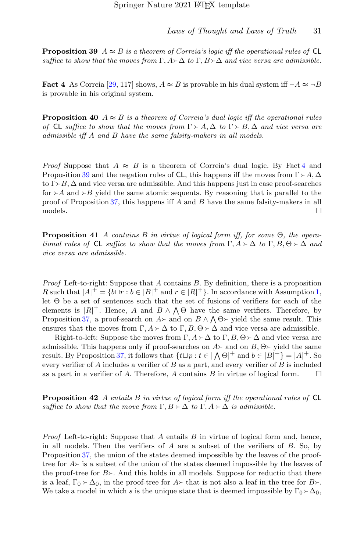<span id="page-30-0"></span>**Proposition 39**  $A \approx B$  is a theorem of Correia's logic iff the operational rules of CL suffice to show that the moves from  $\Gamma$ ,  $A \rightarrow \Delta$  to  $\Gamma$ ,  $B \rightarrow \Delta$  and vice versa are admissible.

<span id="page-30-3"></span>**Fact 4** As Correia [\[29,](#page-33-3) 117] shows,  $A \approx B$  is provable in his dual system iff  $\neg A \approx \neg B$ is provable in his original system.

**Proposition 40**  $A \approx B$  is a theorem of Correia's dual logic iff the operational rules of CL suffice to show that the moves from  $\Gamma > A, \Delta$  to  $\Gamma > B, \Delta$  and vice versa are admissible iff A and B have the same falsity-makers in all models.

*Proof* Suppose that  $A \approx B$  is a theorem of Correia's dual logic. By Fact [4](#page-30-3) and Proposition [39](#page-30-0) and the negation rules of CL, this happens iff the moves from  $\Gamma \succ A$ ,  $\Delta$ to  $\Gamma \rightarrow B$ ,  $\Delta$  and vice versa are admissible. And this happens just in case proof-searches for  $\geq A$  and  $\geq B$  yield the same atomic sequents. By reasoning that is parallel to the proof of Proposition [37,](#page-29-1) this happens iff A and B have the same falsity-makers in all models.  $\Box$ 

<span id="page-30-1"></span>**Proposition 41** A contains B in virtue of logical form iff, for some  $\Theta$ , the operational rules of CL suffice to show that the moves from  $\Gamma, A \succ \Delta$  to  $\Gamma, B, \Theta \succ \Delta$  and vice versa are admissible.

*Proof* Left-to-right: Suppose that  $A$  contains  $B$ . By definition, there is a proposition R such that  $|A|^+ = \{b \sqcup r : b \in |B|^+ \text{ and } r \in |R|^+\}$ . In accordance with Assumption [1,](#page-5-3) let Θ be a set of sentences such that the set of fusions of verifiers for each of the elements is  $|R|$ <sup>+</sup>. Hence, A and  $B \wedge \bigwedge \Theta$  have the same verifiers. Therefore, by Proposition [37,](#page-29-1) a proof-search on  $A \rightarrow$  and on  $B \land \bigwedge \Theta \rightarrow$  yield the same result. This ensures that the moves from  $\Gamma, A \succ \Delta$  to  $\Gamma, B, \Theta \succ \Delta$  and vice versa are admissible.

Right-to-left: Suppose the moves from  $\Gamma, A \succ \Delta$  to  $\Gamma, B, \Theta \succ \Delta$  and vice versa are admissible. This happens only if proof-searches on  $A \rightarrow$  and on  $B, \Theta \rightarrow$  yield the same result. By Proposition [37,](#page-29-1) it follows that  $\{t \sqcup p : t \in |\bigwedge \Theta|^+ \text{ and } b \in |B|^+\} = |A|^+.$  So every verifier of  $A$  includes a verifier of  $B$  as a part, and every verifier of  $B$  is included as a part in a verifier of A. Therefore, A contains B in virtue of logical form.  $\square$ 

<span id="page-30-2"></span>**Proposition 42** A entails B in virtue of logical form iff the operational rules of  $CL$ suffice to show that the move from  $\Gamma, B \succ \Delta$  to  $\Gamma, A \succ \Delta$  is admissible.

*Proof* Left-to-right: Suppose that  $A$  entails  $B$  in virtue of logical form and, hence, in all models. Then the verifiers of  $A$  are a subset of the verifiers of  $B$ . So, by Proposition [37,](#page-29-1) the union of the states deemed impossible by the leaves of the prooftree for  $A \rightarrow \infty$  is a subset of the union of the states deemed impossible by the leaves of the proof-tree for  $B_{\geq}$ . And this holds in all models. Suppose for reductio that there is a leaf,  $\Gamma_0 \geq \Delta_0$ , in the proof-tree for  $A \geq$  that is not also a leaf in the tree for  $B \geq$ . We take a model in which s is the unique state that is deemed impossible by  $\Gamma_0 \rightarrow \Delta_0$ ,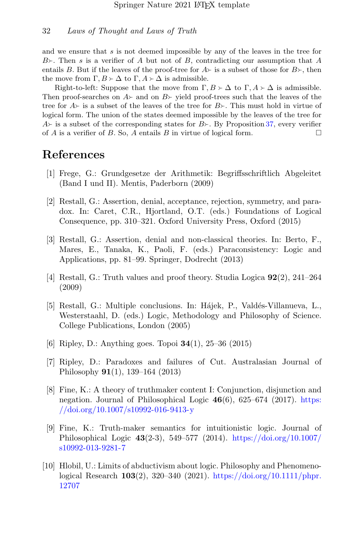and we ensure that s is not deemed impossible by any of the leaves in the tree for  $B_{\geq}$ . Then s is a verifier of A but not of B, contradicting our assumption that A entails B. But if the leaves of the proof-tree for  $A \rightarrow \infty$  is a subset of those for  $B \rightarrow \infty$ , then the move from  $\Gamma, B \succ \Delta$  to  $\Gamma, A \succ \Delta$  is admissible.

Right-to-left: Suppose that the move from  $\Gamma, B \geq \Delta$  to  $\Gamma, A \geq \Delta$  is admissible. Then proof-searches on  $A$  and on  $B$  yield proof-trees such that the leaves of the tree for  $A \rightarrow$  is a subset of the leaves of the tree for  $B \rightarrow$ . This must hold in virtue of logical form. The union of the states deemed impossible by the leaves of the tree for  $A \rightarrow$  is a subset of the corresponding states for  $B \rightarrow B$ . By Proposition [37,](#page-29-1) every verifier of A is a verifier of B. So, A entails B in virtue of logical form. of  $A$  is a verifier of  $B$ . So,  $A$  entails  $B$  in virtue of logical form.

## References

- <span id="page-31-0"></span>[1] Frege, G.: Grundgesetze der Arithmetik: Begriffsschriftlich Abgeleitet (Band I und II). Mentis, Paderborn (2009)
- <span id="page-31-1"></span>[2] Restall, G.: Assertion, denial, acceptance, rejection, symmetry, and paradox. In: Caret, C.R., Hjortland, O.T. (eds.) Foundations of Logical Consequence, pp. 310–321. Oxford University Press, Oxford (2015)
- [3] Restall, G.: Assertion, denial and non-classical theories. In: Berto, F., Mares, E., Tanaka, K., Paoli, F. (eds.) Paraconsistency: Logic and Applications, pp. 81–99. Springer, Dodrecht (2013)
- [4] Restall, G.: Truth values and proof theory. Studia Logica 92(2), 241–264 (2009)
- <span id="page-31-7"></span>[5] Restall, G.: Multiple conclusions. In: Hájek, P., Valdés-Villanueva, L., Westerstaahl, D. (eds.) Logic, Methodology and Philosophy of Science. College Publications, London (2005)
- <span id="page-31-6"></span>[6] Ripley, D.: Anything goes. Topoi 34(1), 25–36 (2015)
- <span id="page-31-2"></span>[7] Ripley, D.: Paradoxes and failures of Cut. Australasian Journal of Philosophy 91(1), 139–164 (2013)
- <span id="page-31-3"></span>[8] Fine, K.: A theory of truthmaker content I: Conjunction, disjunction and negation. Journal of Philosophical Logic  $46(6)$ ,  $625-674$  (2017). [https:](https://doi.org/10.1007/s10992-016-9413-y) [//doi.org/10.1007/s10992-016-9413-y](https://doi.org/10.1007/s10992-016-9413-y)
- <span id="page-31-4"></span>[9] Fine, K.: Truth-maker semantics for intuitionistic logic. Journal of Philosophical Logic 43(2-3), 549–577 (2014). [https://doi.org/10.1007/](https://doi.org/10.1007/s10992-013-9281-7) [s10992-013-9281-7](https://doi.org/10.1007/s10992-013-9281-7)
- <span id="page-31-5"></span>[10] Hlobil, U.: Limits of abductivism about logic. Philosophy and Phenomenological Research 103(2), 320–340 (2021). [https://doi.org/10.1111/phpr.](https://doi.org/10.1111/phpr.12707) [12707](https://doi.org/10.1111/phpr.12707)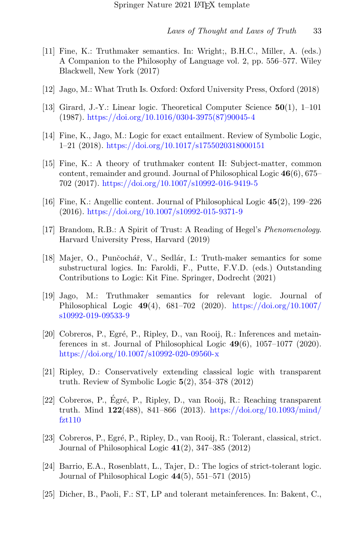- <span id="page-32-0"></span>[11] Fine, K.: Truthmaker semantics. In: Wright;, B.H.C., Miller, A. (eds.) A Companion to the Philosophy of Language vol. 2, pp. 556–577. Wiley Blackwell, New York (2017)
- <span id="page-32-1"></span>[12] Jago, M.: What Truth Is. Oxford: Oxford University Press, Oxford (2018)
- <span id="page-32-2"></span>[13] Girard, J.-Y.: Linear logic. Theoretical Computer Science 50(1), 1–101 (1987). [https://doi.org/10.1016/0304-3975\(87\)90045-4](https://doi.org/10.1016/0304-3975(87)90045-4)
- <span id="page-32-3"></span>[14] Fine, K., Jago, M.: Logic for exact entailment. Review of Symbolic Logic, 1–21 (2018). <https://doi.org/10.1017/s1755020318000151>
- <span id="page-32-13"></span>[15] Fine, K.: A theory of truthmaker content II: Subject-matter, common content, remainder and ground. Journal of Philosophical Logic 46(6), 675– 702 (2017). <https://doi.org/10.1007/s10992-016-9419-5>
- <span id="page-32-4"></span>[16] Fine, K.: Angellic content. Journal of Philosophical Logic 45(2), 199–226 (2016). <https://doi.org/10.1007/s10992-015-9371-9>
- <span id="page-32-5"></span>[17] Brandom, R.B.: A Spirit of Trust: A Reading of Hegel's *Phenomenology*. Harvard University Press, Harvard (2019)
- <span id="page-32-6"></span>[18] Majer, O., Punčochář, V., Sedlár, I.: Truth-maker semantics for some substructural logics. In: Faroldi, F., Putte, F.V.D. (eds.) Outstanding Contributions to Logic: Kit Fine. Springer, Dodrecht (2021)
- <span id="page-32-7"></span>[19] Jago, M.: Truthmaker semantics for relevant logic. Journal of Philosophical Logic 49(4), 681–702 (2020). [https://doi.org/10.1007/](https://doi.org/10.1007/s10992-019-09533-9) [s10992-019-09533-9](https://doi.org/10.1007/s10992-019-09533-9)
- <span id="page-32-8"></span>[20] Cobreros, P., Egré, P., Ripley, D., van Rooij, R.: Inferences and metainferences in st. Journal of Philosophical Logic  $49(6)$ ,  $1057-1077$  (2020). <https://doi.org/10.1007/s10992-020-09560-x>
- <span id="page-32-9"></span>[21] Ripley, D.: Conservatively extending classical logic with transparent truth. Review of Symbolic Logic  $5(2)$ ,  $354-378$  (2012)
- [22] Cobreros, P., Égré, P., Ripley, D., van Rooij, R.: Reaching transparent truth. Mind  $122(488)$ , 841–866 (2013). [https://doi.org/10.1093/mind/](https://doi.org/10.1093/mind/fzt110) [fzt110](https://doi.org/10.1093/mind/fzt110)
- <span id="page-32-10"></span>[23] Cobreros, P., Egré, P., Ripley, D., van Rooij, R.: Tolerant, classical, strict. Journal of Philosophical Logic 41(2), 347–385 (2012)
- <span id="page-32-11"></span>[24] Barrio, E.A., Rosenblatt, L., Tajer, D.: The logics of strict-tolerant logic. Journal of Philosophical Logic 44(5), 551–571 (2015)
- <span id="page-32-12"></span>[25] Dicher, B., Paoli, F.: ST, LP and tolerant metainferences. In: Bakent, C.,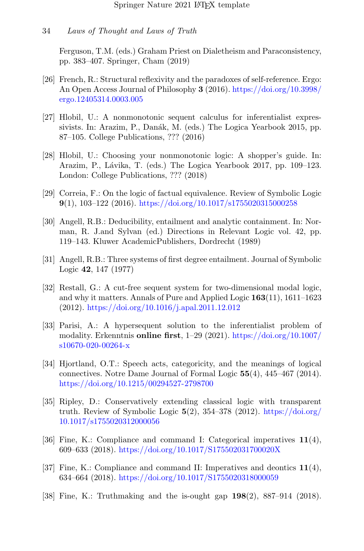Ferguson, T.M. (eds.) Graham Priest on Dialetheism and Paraconsistency, pp. 383–407. Springer, Cham (2019)

- <span id="page-33-0"></span>[26] French, R.: Structural reflexivity and the paradoxes of self-reference. Ergo: An Open Access Journal of Philosophy 3 (2016). [https://doi.org/10.3998/](https://doi.org/10.3998/ergo.12405314.0003.005) [ergo.12405314.0003.005](https://doi.org/10.3998/ergo.12405314.0003.005)
- <span id="page-33-1"></span>[27] Hlobil, U.: A nonmonotonic sequent calculus for inferentialist expressivists. In: Arazim, P., Danák, M. (eds.) The Logica Yearbook 2015, pp. 87–105. College Publications, ??? (2016)
- <span id="page-33-2"></span>[28] Hlobil, U.: Choosing your nonmonotonic logic: A shopper's guide. In: Arazim, P., Lávika, T. (eds.) The Logica Yearbook 2017, pp. 109–123. London: College Publications, ??? (2018)
- <span id="page-33-3"></span>[29] Correia, F.: On the logic of factual equivalence. Review of Symbolic Logic 9(1), 103–122 (2016). <https://doi.org/10.1017/s1755020315000258>
- <span id="page-33-4"></span>[30] Angell, R.B.: Deducibility, entailment and analytic containment. In: Norman, R. J.and Sylvan (ed.) Directions in Relevant Logic vol. 42, pp. 119–143. Kluwer AcademicPublishers, Dordrecht (1989)
- <span id="page-33-5"></span>[31] Angell, R.B.: Three systems of first degree entailment. Journal of Symbolic Logic 42, 147 (1977)
- <span id="page-33-6"></span>[32] Restall, G.: A cut-free sequent system for two-dimensional modal logic, and why it matters. Annals of Pure and Applied Logic 163(11), 1611–1623 (2012). <https://doi.org/10.1016/j.apal.2011.12.012>
- <span id="page-33-7"></span>[33] Parisi, A.: A hypersequent solution to the inferentialist problem of modality. Erkenntnis online first, 1–29 (2021). [https://doi.org/10.1007/](https://doi.org/10.1007/s10670-020-00264-x) [s10670-020-00264-x](https://doi.org/10.1007/s10670-020-00264-x)
- <span id="page-33-8"></span>[34] Hjortland, O.T.: Speech acts, categoricity, and the meanings of logical connectives. Notre Dame Journal of Formal Logic 55(4), 445–467 (2014). <https://doi.org/10.1215/00294527-2798700>
- <span id="page-33-9"></span>[35] Ripley, D.: Conservatively extending classical logic with transparent truth. Review of Symbolic Logic  $5(2)$ ,  $354-378$  (2012). [https://doi.org/](https://doi.org/10.1017/s1755020312000056) [10.1017/s1755020312000056](https://doi.org/10.1017/s1755020312000056)
- <span id="page-33-10"></span>[36] Fine, K.: Compliance and command I: Categorical imperatives  $11(4)$ , 609–633 (2018). <https://doi.org/10.1017/S175502031700020X>
- <span id="page-33-11"></span>[37] Fine, K.: Compliance and command II: Imperatives and deontics  $11(4)$ , 634–664 (2018). <https://doi.org/10.1017/S1755020318000059>
- <span id="page-33-12"></span>[38] Fine, K.: Truthmaking and the is-ought gap 198(2), 887–914 (2018).